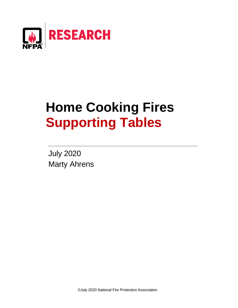

# **Home Cooking Fires Supporting Tables**

July 2020 Marty Ahrens

©July 2020 National Fire Protection Association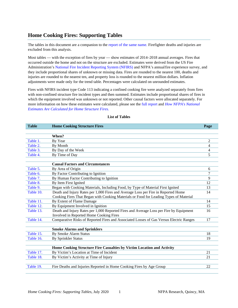# **Home Cooking Fires: Supporting Tables**

The tables in this document are a companion to the [report of the same name](https://www.nfpa.org/News-and-Research/Data-research-and-tools/US-Fire-Problem/Home-Cooking-Fires). Firefighter deaths and injuries are excluded from this analysis.

Most tables — with the exception of fires by year — show estimates of 2014–2018 annual averages. Fires that occurred outside the home and not on the structure are excluded. Estimates were derived from the US Fire Administration's [National Fire Incident Reporting System \(NFIRS\)](https://www.usfa.fema.gov/data/nfirs/) and NFPA's annualfire experience survey, and they include proportional shares of unknown or missing data. Fires are rounded to the nearest 100, deaths and injuries are rounded to the nearest ten, and property loss is rounded to the nearest million dollars. Inflation adjustments were made only for the trend table. Percentages were calculated on unrounded estimates.

Fires with NFIRS incident type Code 113 indicating a confined cooking fire were analyzed separately from fires with non-confined structure fire incident types and then summed. Estimates include proportional shares of fires in which the equipment involved was unknown or not reported. Other causal factors were allocated separately. For more information on how these estimates were calculated, please see th[e full report](https://www.nfpa.org/News-and-Research/Data-research-and-tools/US-Fire-Problem/Cooking-equipment) and *[How NFPA's National](https://www.nfpa.org/-/media/Files/News-and-Research/Fire-statistics-and-reports/NFPA-estimates-and-methodology/HowNationalEstimatesAreCalculatedForHomeStructureFires.pdf) Estimates Are [Calculated for Home Structure](https://www.nfpa.org/-/media/Files/News-and-Research/Fire-statistics-and-reports/NFPA-estimates-and-methodology/HowNationalEstimatesAreCalculatedForHomeStructureFires.pdf) Fires.*

| <b>Table</b> | <b>Home Cooking Structure Fires</b>                                                     | Page |
|--------------|-----------------------------------------------------------------------------------------|------|
|              |                                                                                         |      |
|              | When?                                                                                   |      |
| Table 1.     | By Year                                                                                 | 2    |
| Table 2.     | By Month                                                                                | 4    |
| Table 3.     | By Day of the Week                                                                      | 4    |
| Table 4.     | By Time of Day                                                                          | 5    |
|              |                                                                                         |      |
|              | <b>Causal Factors and Circumstances</b>                                                 |      |
| Table 5.     | By Area of Origin                                                                       | 6    |
| Table 6.     | By Factor Contributing to Ignition                                                      |      |
| Table 7.     | By Human Factor Contributing to Ignition                                                | 9    |
| Table 8.     | By Item First Ignited                                                                   | 12   |
| Table 9.     | Began with Cooking Materials, Including Food, by Type of Material First Ignited         | 13   |
| Table 10.    | Death and Injury Rates per 1,000 Fires and Average Loss per Fire in Reported Home       | 14   |
|              | Cooking Fires That Began with Cooking Materials or Food for Leading Types of Material   |      |
| Table 11.    | By Extent of Flame Damage                                                               | 14   |
| Table 12.    | By Equipment Involved in Ignition                                                       | 15   |
| Table 13.    | Death and Injury Rates per 1,000 Reported Fires and Average Loss per Fire by Equipment  | 16   |
|              | Involved in Reported Home Cooking Fires                                                 |      |
| Table 14.    | Comparative Risks of Reported Fires and Associated Losses of Gas Versus Electric Ranges | 17   |
|              |                                                                                         |      |
|              | <b>Smoke Alarms and Sprinklers</b>                                                      |      |
| Table 15.    | <b>By Smoke Alarm Status</b>                                                            | 18   |
| Table 16.    | By Sprinkler Status                                                                     | 19   |
|              |                                                                                         |      |
|              | Home Cooking Structure Fire Casualties by Victim Location and Activity                  |      |
| Table 17.    | By Victim's Location at Time of Incident                                                | 21   |
| Table 18.    | By Victim's Activity at Time of Injury                                                  | 21   |
|              |                                                                                         |      |
| Table 19.    | Fire Deaths and Injuries Reported in Home Cooking Fires by Age Group                    | 22   |

### **List of Tables**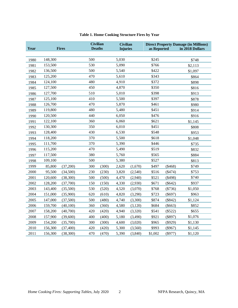| Table 1. Home Cooking Structure Fires by Year |  |  |  |  |
|-----------------------------------------------|--|--|--|--|
|-----------------------------------------------|--|--|--|--|

<span id="page-2-0"></span>

| Year |         | <b>Fires</b> | <b>Civilian</b><br><b>Deaths</b> |       | <b>Civilian</b><br><b>Injuries</b> |         | as Reported |           | <b>Direct Property Damage (in Millions)</b><br>in 2018 Dollars |
|------|---------|--------------|----------------------------------|-------|------------------------------------|---------|-------------|-----------|----------------------------------------------------------------|
|      |         |              |                                  |       |                                    |         |             |           |                                                                |
| 1980 | 148,300 |              | 500                              |       | 5,030                              |         | \$245       |           | \$748                                                          |
| 1981 | 153,500 |              | 530                              |       | 5,090                              |         | \$766       |           | \$2,113                                                        |
| 1982 | 136,500 |              | 500                              |       | 5,540                              |         | \$422       |           | \$1,097                                                        |
| 1983 | 125,200 |              | 470                              |       | 5,610                              |         | \$343       |           | \$864                                                          |
| 1984 | 124,100 |              | 480                              |       | 4,910                              |         | \$372       |           | \$898                                                          |
| 1985 | 127,500 |              | 450                              |       | 4,870                              |         | \$350       |           | \$816                                                          |
| 1986 | 127,700 |              | 510                              |       | 5,010                              |         | \$398       |           | \$913                                                          |
| 1987 | 125,100 |              | 410                              |       | 5,500                              |         | \$397       |           | \$878                                                          |
| 1988 | 126,700 |              | 470                              |       | 5,870                              |         | \$461       |           | \$980                                                          |
| 1989 | 119,800 |              | 480                              |       | 5,480                              |         | \$451       |           | \$914                                                          |
| 1990 | 120,500 |              | 440                              |       | 6,050                              |         | \$476       |           | \$916                                                          |
| 1991 | 122,100 |              | 360                              |       | 6,060                              |         | \$621       |           | \$1,145                                                        |
| 1992 | 130,300 |              | 350                              |       | 6,010                              |         | \$451       |           | \$808                                                          |
| 1993 | 128,400 |              | 430                              |       | 6,530                              |         | \$548       |           | \$953                                                          |
| 1994 | 118,200 |              | 370                              |       | 5,500                              |         | \$618       |           | \$1,048                                                        |
| 1995 | 111,700 |              | 370                              |       | 5,390                              |         | \$446       |           | \$735                                                          |
| 1996 | 115,200 |              | 470                              |       | 5,490                              |         | \$519       |           | \$832                                                          |
| 1997 | 117,500 |              | 380                              |       | 5,760                              |         | \$565       |           | \$884                                                          |
| 1998 | 109,100 |              | 500                              |       | 5,380                              |         | \$527       |           | \$813                                                          |
| 1999 | 85,800  | (37,200)     | 300                              | (300) | 2,620                              | (1,670) | \$497       | $(\$468)$ | \$749                                                          |
| 2000 | 95,500  | (34,500)     | 230                              | (230) | 3,820                              | (2,540) | \$516       | (\$474)   | \$753                                                          |
| 2001 | 120,600 | (38,300)     | 500                              | (500) | 4,470                              | (2,940) | \$521       | $(\$498)$ | \$740                                                          |
| 2002 | 128,200 | (37,700)     | 150                              | (150) | 4,330                              | (2,930) | \$671       | $(\$642)$ | \$937                                                          |
| 2003 | 143,400 | (35,500)     | 530                              | (520) | 4,520                              | (3,070) | \$768       | $(\$736)$ | \$1,050                                                        |
| 2004 | 151,000 | (35,900)     | 620                              | (610) | 4,820                              | (3,290) | \$723       | $(\$697)$ | \$963                                                          |
| 2005 | 147,000 | (37,500)     | 500                              | (480) | 4,740                              | (3,300) | \$874       | $(\$842)$ | \$1,124                                                        |
| 2006 | 159,700 | (40,100)     | 360                              | (360) | 4,580                              | (3,120) | \$684       | $(\$663)$ | \$852                                                          |
| 2007 | 158,200 | (40,700)     | 420                              | (420) | 4,940                              | (3,320) | \$541       | $(\$522)$ | \$655                                                          |
| 2008 | 157,900 | (39,600)     | 400                              | (400) | 5,180                              | (3,490) | \$921       | $(\$897)$ | \$1,076                                                        |
| 2009 | 154,200 | (35,700)     | 300                              | (300) | 4,600                              | (3,020) | \$965       | $(\$929)$ | \$1,130                                                        |
| 2010 | 156,300 | (37, 400)    | 420                              | (420) | 5,300                              | (3,560) | \$993       | $(\$967)$ | \$1,145                                                        |
| 2011 | 156,300 | (38, 300)    | 470                              | (470) | 5,390                              | (3,840) | \$1,002     | $(\$977)$ | \$1,120                                                        |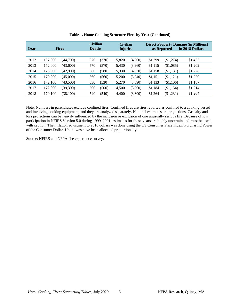| Year | <b>Fires</b> |           | <b>Civilian</b><br><b>Deaths</b> |       | <b>Civilian</b><br><b>Injuries</b> |         |         | as Reported | <b>Direct Property Damage (in Millions)</b><br>in 2018 Dollars |
|------|--------------|-----------|----------------------------------|-------|------------------------------------|---------|---------|-------------|----------------------------------------------------------------|
|      |              |           |                                  |       |                                    |         |         |             |                                                                |
| 2012 | 167,800      | (44,700)  | 370                              | (370) | 5,820                              | (4,200) | \$1,299 | $(\$1,274)$ | \$1,423                                                        |
| 2013 | 172,000      | (43,600)  | 570                              | (570) | 5,430                              | (3,960) | \$1,115 | (\$1,085)   | \$1,202                                                        |
| 2014 | 173,300      | (42,900)  | 580                              | (580) | 5,330                              | (4,030) | \$1,158 | (\$1,131)   | \$1,228                                                        |
| 2015 | 179,000      | (45,000)  | 560                              | (560) | 5,200                              | (3,940) | \$1,151 | (\$1,121)   | \$1,220                                                        |
| 2016 | 172,100      | (43,500)  | 530                              | (530) | 5,270                              | (3,890) | \$1,133 | (\$1,106)   | \$1,187                                                        |
| 2017 | 172,800      | (39,300)  | 500                              | (500) | 4,500                              | (3,300) | \$1,184 | (\$1,154)   | \$1,214                                                        |
| 2018 | 170,100      | (38, 100) | 540                              | (540) | 4,400                              | (3,300) | \$1,264 | (\$1,231)   | \$1,264                                                        |

#### **Table 1. Home Cooking Structure Fires by Year (Continued)**

Note: Numbers in parentheses exclude confined fires. Confined fires are fires reported as confined to a cooking vessel and involving cooking equipment, and they are analyzed separately. National estimates are projections. Casualty and loss projections can be heavily influenced by the inclusion or exclusion of one unusually serious fire. Because of low participation in NFIRS Version 5.0 during 1999–2001, estimates for those years are highly uncertain and must be used with caution. The inflation adjustment to 2018 dollars was done using the US Consumer Price Index: Purchasing Power of the Consumer Dollar. Unknowns have been allocated proportionally.

Source: NFIRS and NFPA fire experience survey.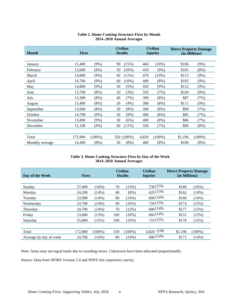<span id="page-4-0"></span>

| <b>Month</b>    | <b>Fires</b> |           |    | <b>Civilian</b><br><b>Deaths</b> |       | <b>Civilian</b><br><b>Injuries</b> |         | <b>Direct Property Damage</b><br>(in Millions) |
|-----------------|--------------|-----------|----|----------------------------------|-------|------------------------------------|---------|------------------------------------------------|
|                 |              |           |    |                                  |       |                                    |         |                                                |
| January         | 15,400       | $(9\%)$   | 90 | (15%)                            | 460   | $(10\%)$                           | \$106   | (9%)                                           |
| February        | 13,600       | $(8\%)$   | 50 | $(10\%)$                         | 410   | (9%)                               | \$101   | $(8\%)$                                        |
| March           | 14,800       | $(9\%)$   | 60 | $(11\%)$                         | 470   | (10%)                              | \$113   | (9%)                                           |
| April           | 14,700       | (9%)      | 60 | $(10\%)$                         | 400   | $(8\%)$                            | \$105   | (9%)                                           |
| May             | 14,800       | $(9\%)$   | 30 | (5%)                             | 420   | $(9\%)$                            | \$112   | $(9\%)$                                        |
| June            | 13,700       | $(8\%)$   | 10 | (3%)                             | 350   | (7%)                               | \$104   | $(9\%)$                                        |
| July            | 13,300       | $(8\%)$   | 40 | (7%)                             | 390   | $(8\%)$                            | \$87    | (7%)                                           |
| August          | 13,400       | $(8\%)$   | 20 | (4%)                             | 380   | $(8\%)$                            | \$111   | $(9\%)$                                        |
| September       | 13,600       | $(8\%)$   | 50 | $(9\%)$                          | 390   | $(8\%)$                            | \$90    | (7%)                                           |
| October         | 14,700       | $(9\%)$   | 50 | $(9\%)$                          | 400   | $(8\%)$                            | \$85    | (7%)                                           |
| November        | 15,800       | $(9\%)$   | 30 | (6%)                             | 400   | $(8\%)$                            | \$86    | (7%)                                           |
| December        | 15,100       | $(9\%)$   | 60 | $(11\%)$                         | 350   | (7%)                               | \$96    | (8%)                                           |
|                 |              |           |    |                                  |       |                                    |         |                                                |
| Total           | 172,900      | $(100\%)$ |    | 550 (100%)                       | 4,820 | $(100\%)$                          | \$1,196 | $(100\%)$                                      |
| Monthly average | 14,400       | $(8\%)$   | 50 | $(8\%)$                          | 400   | $(8\%)$                            | \$100   | $(8\%)$                                        |

## **Table 2. Home Cooking Structure Fires by Month 2014–2018 Annual Averages**

### **Table 3. Home Cooking Structure Fires by Day of the Week 2014–2018 Annual Averages**

<span id="page-4-1"></span>

| Day of the Week        | <b>Fires</b> |           |     | <b>Civilian</b><br><b>Deaths</b> | <b>Civilian</b><br><b>Injuries</b> | <b>Direct Property Damage</b><br>(in Millions) |           |  |
|------------------------|--------------|-----------|-----|----------------------------------|------------------------------------|------------------------------------------------|-----------|--|
|                        |              |           |     |                                  |                                    |                                                |           |  |
| Sunday                 | 27,600       | $(16\%)$  | 70  | (13%)                            | 730 (15%)                          | \$189                                          | $(16\%)$  |  |
| Monday                 | 24,200       | (14%)     | 40  | $(8\%)$                          | 620(13%                            | \$162                                          | (14%)     |  |
| Tuesday                | 23,900       | (14%)     | 80  | (14%)                            | 690 (14%)                          | \$166                                          | (14%)     |  |
| Wednesday              | 23,700       | (14%)     | 90  | (16%)                            | 720 (15%)                          | \$174                                          | (15%)     |  |
| Thursday               | 24,700       | (14%)     | 70  | (12%)                            | 690 (14%)                          | \$177                                          | (15%)     |  |
| Friday                 | 23,000       | (13%)     | 100 | (18%)                            | 660 (14%)                          | \$151                                          | (13%)     |  |
| Saturday               | 25,800       | (15%)     | 100 | (19%)                            | 710 (15%)                          | \$178                                          | (15%)     |  |
|                        |              |           |     |                                  |                                    |                                                |           |  |
| Total                  | 172,900      | $(100\%)$ | 550 | $(100\%)$                        | 4,820 (100)                        | \$1.196                                        | $(100\%)$ |  |
| Average by day of week | 24,700       | (14%)     | 80  | (14%)                            | 690 (14%)                          | \$171                                          | (14%)     |  |

Note: Sums may not equal totals due to rounding errors. Unknowns have been allocated proportionally.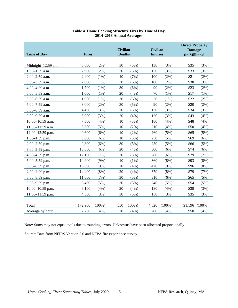<span id="page-5-0"></span>

| <b>Time of Day</b>  | <b>Fires</b> |           | <b>Civilian</b><br><b>Deaths</b> |           | <b>Civilian</b><br><b>Injuries</b> |           | <b>Direct Property</b><br><b>Damage</b><br>(in Millions) |           |
|---------------------|--------------|-----------|----------------------------------|-----------|------------------------------------|-----------|----------------------------------------------------------|-----------|
|                     |              |           |                                  |           |                                    |           |                                                          |           |
| Midnight-12:59 a.m. | 3,600        | $(2\%)$   | 30                               | (5%)      | 130                                | (3%)      | \$35                                                     | (3%)      |
| $1:00-1:59$ a.m.    | 2,900        | $(2\%)$   | 30                               | (5%)      | 150                                | (3%)      | \$33                                                     | (3%)      |
| 2:00-2:59 a.m.      | 2,400        | $(1\%)$   | 40                               | (7%)      | 100                                | $(2\%)$   | \$21                                                     | $(2\%)$   |
| 3:00-3:59 a.m.      | 2,000        | $(1\%)$   | 30                               | (6%)      | 100                                | $(2\%)$   | \$38                                                     | (3%)      |
| 4:00-4:59 a.m.      | 1,700        | (1%)      | 30                               | (6%)      | 90                                 | $(2\%)$   | \$23                                                     | (2%)      |
| 5:00-5:59 a.m.      | 1,600        | $(1\%)$   | 20                               | (4%)      | 70                                 | $(1\%)$   | \$17                                                     | $(1\%)$   |
| 6:00-6:59 a.m.      | 1,900        | $(1\%)$   | 30                               | (6%)      | 50                                 | $(1\%)$   | \$22                                                     | (2%)      |
| 7:00-7:59 a.m.      | 3,000        | (2%)      | 30                               | (5%)      | 90                                 | $(2\%)$   | \$20                                                     | (2%)      |
| 8:00-8:59 a.m.      | 4,400        | (3%)      | 20                               | (3%)      | 130                                | (3%)      | \$34                                                     | (3%)      |
| 9:00-9:59 a.m.      | 5,900        | (3%)      | 20                               | (4%)      | 120                                | (3%)      | \$43                                                     | (4%)      |
| 10:00-10:59 a.m.    | 7,300        | (4%)      | 10                               | (3%)      | 180                                | (4%)      | \$48                                                     | (4%)      |
| 11:00-11:59 a.m.    | 8,500        | (5%)      | 10                               | (2%)      | 210                                | (4%)      | \$50                                                     | (4%)      |
| 12:00-12:59 p.m.    | 9,600        | (6%)      | 10                               | $(2\%)$   | 260                                | (5%)      | \$65                                                     | (5%)      |
| $1:00-1:59$ p.m.    | 9,800        | (6%)      | 10                               | (3%)      | 250                                | (5%)      | \$69                                                     | (6%)      |
| $2:00-2:59$ p.m.    | 9,800        | (6%)      | 30                               | (5%)      | 250                                | (5%)      | \$66                                                     | (5%)      |
| $3:00-3:59$ p.m.    | 10,600       | (6%)      | 20                               | (4%)      | 300                                | (6%)      | \$74                                                     | (6%)      |
| 4:00-4:59 p.m.      | 12,100       | (7%)      | 20                               | (3%)      | 280                                | (6%)      | \$79                                                     | (7%)      |
| 5:00-5:59 p.m.      | 14,900       | (9%)      | 10                               | $(1\%)$   | 360                                | $(8\%)$   | \$93                                                     | $(8\%)$   |
| $6:00-6:59$ p.m.    | 16,000       | (9%)      | 20                               | (4%)      | 420                                | $(9\%)$   | \$96                                                     | (8%)      |
| 7:00-7:59 p.m.      | 14,400       | (8%)      | 20                               | (4%)      | 370                                | $(8\%)$   | \$79                                                     | (7%)      |
| $8:00-8:59$ p.m.    | 11,600       | (7%)      | 30                               | (5%)      | 310                                | (6%)      | \$65                                                     | (5%)      |
| 9:00-9:59 p.m.      | 8,400        | (5%)      | 30                               | (5%)      | 240                                | (5%)      | \$54                                                     | (5%)      |
| $10:00-10:59$ p.m.  | 6,100        | (4%)      | 20                               | (4%)      | 180                                | (4%)      | \$38                                                     | (3%)      |
| 11:00-11:59 p.m.    | 4,500        | (3%)      | 30                               | (5%)      | 150                                | (3%)      | \$35                                                     | (3%)      |
|                     |              |           |                                  |           |                                    |           |                                                          |           |
| Total               | 172,900      | $(100\%)$ | 550                              | $(100\%)$ | 4,820                              | $(100\%)$ | \$1,196                                                  | $(100\%)$ |
| Average by hour     | 7,200        | (4%)      | 20                               | (4%)      | 200                                | (4%)      | \$50                                                     | (4%)      |

# **Table 4. Home Cooking Structure Fires by Time of Day 2014–2018 Annual Averages**

Note: Sums may not equal totals due to rounding errors. Unknowns have been allocated proportionally.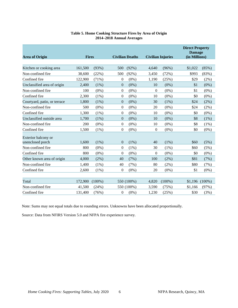<span id="page-6-0"></span>

| <b>Area of Origin</b>        | <b>Fires</b> |           |                  | <b>Civilian Deaths</b> |              | <b>Direct Property</b><br><b>Damage</b><br>(in Millions)<br><b>Civilian Injuries</b> |         |           |
|------------------------------|--------------|-----------|------------------|------------------------|--------------|--------------------------------------------------------------------------------------|---------|-----------|
|                              |              |           |                  |                        |              |                                                                                      |         |           |
| Kitchen or cooking area      | 161,500      | (93%)     | 500              | $(92\%)$               | 4,640        | (96%)                                                                                | \$1,022 | (85%)     |
| Non-confined fire            | 38,600       | (22%)     | 500              | (92%)                  | 3,450        | (72%)                                                                                | \$993   | (83%)     |
| Confined fire                | 122,900      | (71%)     | $\theta$         | $(0\%)$                | 1,190        | (25%)                                                                                | \$29    | (2%)      |
| Unclassified area of origin  | 2.400        | $(1\%)$   | $\mathbf{0}$     | $(0\%)$                | 10           | $(0\%)$                                                                              | \$1     | $(0\%)$   |
| Non-confined fire            | 100          | $(0\%)$   | $\boldsymbol{0}$ | $(0\%)$                | $\mathbf{0}$ | $(0\%)$                                                                              | \$1     | $(0\%)$   |
| Confined fire                | 2,300        | $(1\%)$   | $\mathbf{0}$     | $(0\%)$                | 10           | $(0\%)$                                                                              | \$0     | $(0\%)$   |
| Courtyard, patio, or terrace | 1.800        | $(1\%)$   | $\mathbf{0}$     | $(0\%)$                | 30           | (1%)                                                                                 | \$24    | (2%)      |
| Non-confined fire            | 500          | $(0\%)$   | $\boldsymbol{0}$ | $(0\%)$                | 20           | $(0\%)$                                                                              | \$24    | $(2\%)$   |
| Confined fire                | 1,300        | $(1\%)$   | $\boldsymbol{0}$ | $(0\%)$                | 10           | $(0\%)$                                                                              | \$0     | $(0\%)$   |
| Unclassified outside area    | 1,700        | $(1\%)$   | $\boldsymbol{0}$ | $(0\%)$                | 10           | $(0\%)$                                                                              | \$8     | $(1\%)$   |
| Non-confined fire            | 200          | $(0\%)$   | $\mathbf{0}$     | $(0\%)$                | 10           | $(0\%)$                                                                              | \$8     | (1%)      |
| Confined fire                | 1,500        | $(1\%)$   | $\mathbf{0}$     | $(0\%)$                | $\mathbf{0}$ | $(0\%)$                                                                              | \$0     | $(0\%)$   |
| Exterior balcony or          |              |           |                  |                        |              |                                                                                      |         |           |
| unenclosed porch             | 1,600        | $(1\%)$   | $\mathbf{0}$     | (1%)                   | 40           | (1%)                                                                                 | \$60    | (5%)      |
| Non-confined fire            | 800          | $(0\%)$   | $\boldsymbol{0}$ | $(1\%)$                | 30           | $(1\%)$                                                                              | \$60    | (5%)      |
| Confined fire                | 800          | $(0\%)$   | $\theta$         | $(0\%)$                | $\Omega$     | $(0\%)$                                                                              | \$0     | $(0\%)$   |
| Other known area of origin   | 4,000        | (2%)      | 40               | (7%)                   | 100          | $(2\%)$                                                                              | \$81    | (7%)      |
| Non-confined fire            | 1,400        | $(1\%)$   | 40               | (7%)                   | 80           | $(2\%)$                                                                              | \$80    | (7%)      |
| Confined fire                | 2,600        | $(1\%)$   | $\boldsymbol{0}$ | $(0\%)$                | 20           | $(0\%)$                                                                              | \$1     | $(0\%)$   |
|                              |              |           |                  |                        |              |                                                                                      |         |           |
| Total                        | 172,900      | $(100\%)$ |                  | 550 (100%)             | 4,820        | $(100\%)$                                                                            | \$1,196 | $(100\%)$ |
| Non-confined fire            | 41,500       | (24%)     |                  | 550 (100%)             | 3,590        | (75%)                                                                                | \$1,166 | (97%)     |
| Confined fire                | 131,400      | (76%)     | $\theta$         | $(0\%)$                | 1,230        | (25%)                                                                                | \$30    | (3%)      |

# **Table 5. Home Cooking Structure Fires by Area of Origin 2014–2018 Annual Averages**

Note: Sums may not equal totals due to rounding errors. Unknowns have been allocated proportionally.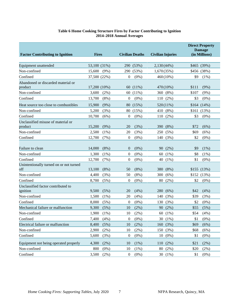# **Table 6 Home Cooking Structure Fires by Factor Contributing to Ignition 2014–2018 Annual Averages**

<span id="page-7-0"></span>

|                                                |              |         |                  |                        |                          |             |       | <b>Direct Property</b><br><b>Damage</b> |
|------------------------------------------------|--------------|---------|------------------|------------------------|--------------------------|-------------|-------|-----------------------------------------|
| <b>Factor Contributing to Ignition</b>         | <b>Fires</b> |         |                  | <b>Civilian Deaths</b> | <b>Civilian Injuries</b> |             |       | (in Millions)                           |
| Equipment unattended                           | 53,100 (31%) |         |                  | 290 (53%)              | $2,130(44\%)$            |             |       | \$465 (39%)                             |
| Non-confined                                   | 15,600       | $(9\%)$ | 290              | (53%)                  | 1,670(35%)               |             |       | \$456 (38%)                             |
| Confined                                       | 37,500 (22%) |         | $\mathbf{0}$     | $(0\%)$                |                          | $460(10\%)$ | \$9   | $(1\%)$                                 |
| Abandoned or discarded material or<br>product  | 17,200 (10%) |         | 60               | $(11\%)$               |                          | 470(10%)    | \$111 | (9%)                                    |
| Non-confined                                   | 3,600        | $(2\%)$ | 60               | $(11\%)$               |                          | 360 (8%)    | \$107 | (9%)                                    |
| Confined                                       | 13,700       | $(8\%)$ | $\mathbf{0}$     | $(0\%)$                | 110                      | (2%)        | \$3   | $(0\%)$                                 |
| Heat source too close to combustibles          | 15,900       | (9%)    | 80               | (15%)                  |                          | $520(11\%)$ |       | $$164$ $(14\%)$                         |
| Non-confined                                   | 5,200        | (3%)    | 80               | (15%)                  |                          | 410 (8%)    |       | $$161$ $(13%)$                          |
| Confined                                       | 10,700       | (6%)    | $\mathbf{0}$     | $(0\%)$                | 110                      | $(2\%)$     | \$3   | $(0\%)$                                 |
| Unclassified misuse of material or<br>product  | 15,200       | (9%)    | 20               | (3%)                   | 390                      | (8%)        | \$72  | (6%)                                    |
| Non-confined                                   | 2,500        | $(1\%)$ | 20               | (3%)                   | 250                      | (5%)        | \$69  | (6%)                                    |
| Confined                                       | 12,700       | (7%)    | $\mathbf{0}$     | $(0\%)$                | 140                      | (3%)        | \$2   | $(0\%)$                                 |
| Failure to clean                               | 14,000       | $(8\%)$ | $\overline{0}$   | $(0\%)$                | 90                       | (2%)        | \$9   | (1%)                                    |
| Non-confined                                   | 1,300        | $(1\%)$ | $\mathbf{0}$     | $(0\%)$                | 60                       | $(1\%)$     | \$8   | $(1\%)$                                 |
| Confined                                       | 12,700       | (7%)    | $\mathbf{0}$     | $(0\%)$                | 40                       | $(1\%)$     | \$1   | $(0\%)$                                 |
| Unintentionally turned on or not turned<br>off | 13,100       | $(8\%)$ | 50               | (8%)                   | 380                      | (8%)        |       | \$155(13%)                              |
| Non-confined                                   | 4,400        | (3%)    | 50               | $(8\%)$                | 300                      | (6%)        |       | $$152$ (13%)                            |
| Confined                                       | 8,700        | (5%)    | $\theta$         | $(0\%)$                | 80                       | $(2\%)$     | \$2   | $(0\%)$                                 |
| Unclassified factor contributed to<br>ignition | 9,500        | (5%)    | 20               | (4%)                   | 280                      | (6%)        | \$42  | (4%)                                    |
| Non-confined                                   | 1,500        | $(1\%)$ | 20               | (4%)                   | 140                      | (3%)        | \$39  | (3%)                                    |
| Confined                                       | 8,000        | (5%)    | $\boldsymbol{0}$ | $(0\%)$                | 130                      | (3%)        | \$2   | $(0\%)$                                 |
| Mechanical failure or malfunction              | 9,300        | (5%)    | 10               | (2%)                   | 90                       | (2%)        | \$55  | (5%)                                    |
| Non-confined                                   | 1,900        | $(1\%)$ | 10               | $(2\%)$                |                          | 60 (1%)     | \$54  | (4%)                                    |
| Confined                                       | 7,400        | (4%)    | $\boldsymbol{0}$ | (0%)                   |                          | 30 (1%)     | \$1   | $(0\%)$                                 |
| Electrical failure or malfunction              | 8,400        | (5%)    | 10               | (2%)                   | 160                      | (3%)        | \$69  | (6%)                                    |
| Non-confined                                   | 2,900        | (2%)    | 10               | $(2\%)$                | 150                      | (3%)        | \$68  | (6%)                                    |
| Confined                                       | 5,600        | (3%)    | $\boldsymbol{0}$ | $(0\%)$                | 10                       | $(0\%)$     | \$1   | $(0\%)$                                 |
| Equipment not being operated properly          | 4,300        | (2%)    | 10               | (1%)                   | 110                      | (2%)        | \$21  | (2%)                                    |
| Non-confined                                   | 800          | $(0\%)$ | 10               | (1%)                   | 80                       | (2%)        | \$20  | $(2\%)$                                 |
| Confined                                       | 3,500        | $(2\%)$ | $\boldsymbol{0}$ | $(0\%)$                |                          | 30 (1%)     | \$1   | $(0\%)$                                 |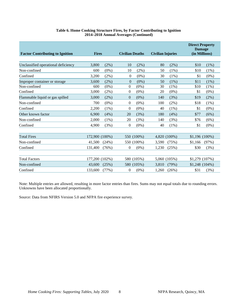| <b>Factor Contributing to Ignition</b> | <b>Fires</b>   |         | <b>Civilian Deaths</b> |            | <b>Civilian Injuries</b> |              |                 | <b>Direct Property</b><br><b>Damage</b><br>(in Millions) |  |  |
|----------------------------------------|----------------|---------|------------------------|------------|--------------------------|--------------|-----------------|----------------------------------------------------------|--|--|
| Unclassified operational deficiency    | 3,800          | (2%)    | 10                     | $(2\%)$    | 80                       | (2%)         | \$10            | $(1\%)$                                                  |  |  |
| Non-confined                           | 600            | $(0\%)$ | 10                     | (2%)       | 50                       | (1%)         | \$10            | (1%)                                                     |  |  |
| Confined                               | 3,200          | (2%)    | $\mathbf{0}$           | $(0\%)$    | 30                       | (1%)         | \$1             | $(0\%)$                                                  |  |  |
| Improper container or storage          | 3.600          | $(2\%)$ | $\theta$               | $(0\%)$    | 50                       | $(1\%)$      | \$11            | $(1\%)$                                                  |  |  |
| Non-confined                           | 600            | $(0\%)$ | 0                      | $(0\%)$    | 30                       | $(1\%)$      | \$10            | (1%)                                                     |  |  |
| Confined                               | 3,000          | $(2\%)$ | 0                      | $(0\%)$    | 20                       | $(0\%)$      | \$1             | $(0\%)$                                                  |  |  |
| Flammable liquid or gas spilled        | 3.000          | (2%)    | $\overline{0}$         | $(0\%)$    | 140                      | (3%)         | \$19            | (2%)                                                     |  |  |
| Non-confined                           | 700            | $(0\%)$ | 0                      | $(0\%)$    | 100                      | $(2\%)$      | \$18            | (1%)                                                     |  |  |
| Confined                               | 2,200          | $(1\%)$ | 0                      | $(0\%)$    | 40                       | $(1\%)$      | \$1             | $(0\%)$                                                  |  |  |
| Other known factor                     | 6,900          | (4%)    | 20                     | (3%)       | 180                      | (4%)         | \$77            | (6%)                                                     |  |  |
| Non-confined                           | 2.000          | $(1\%)$ | 20                     | (3%)       | 140                      | (3%)         | \$76            | (6%)                                                     |  |  |
| Confined                               | 4.900          | (3%)    | $\theta$               | $(0\%)$    | 40                       | $(1\%)$      | \$1             | $(0\%)$                                                  |  |  |
|                                        |                |         |                        |            |                          |              |                 |                                                          |  |  |
| <b>Total Fires</b>                     | 172,900 (100%) |         |                        | 550 (100%) |                          | 4,820 (100%) | $$1,196(100\%)$ |                                                          |  |  |
| Non-confined                           | 41,500         | (24%)   |                        | 550 (100%) | 3,590                    | (75%)        | \$1,166         | (97%)                                                    |  |  |
| Confined                               | 131,400        | (76%)   | 0                      | $(0\%)$    | 1,230                    | (25%)        | \$30            | (3%)                                                     |  |  |
|                                        |                |         |                        |            |                          |              |                 |                                                          |  |  |
| <b>Total Factors</b>                   | 177,200 (102%) |         |                        | 580 (105%) |                          | 5.060 (105%) | \$1,279 (107%)  |                                                          |  |  |
| Non-confined                           | 43,600         | (25%)   |                        | 580 (105%) | 3,810                    | (79%)        | $$1,248$ (104%) |                                                          |  |  |
| Confined                               | 133,600        | (77%)   | 0                      | $(0\%)$    | 1,260                    | (26%)        | \$31            | (3%)                                                     |  |  |

## **Table 6. Home Cooking Structure Fires, by Factor Contributing to Ignition 2014–2018 Annual Averages (Continued)**

Note: Multiple entries are allowed, resulting in more factor entries than fires. Sums may not equal totals due to rounding errors. Unknowns have been allocated proportionally.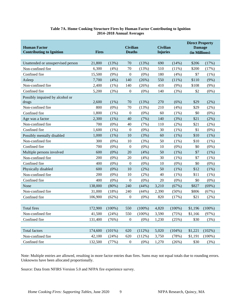# **Table 7A. Home Cooking Structure Fires by Human Factor Contributing to Ignition 2014–2018 Annual Averages**

<span id="page-9-0"></span>

| <b>Human Factor</b><br><b>Contributing to Ignition</b> | <b>Fires</b> |           | <b>Civilian</b><br><b>Deaths</b> |           | <b>Civilian</b><br><b>Injuries</b> |           | <b>Direct Property</b><br><b>Damage</b><br>(in Millions) |           |  |
|--------------------------------------------------------|--------------|-----------|----------------------------------|-----------|------------------------------------|-----------|----------------------------------------------------------|-----------|--|
| Unattended or unsupervised person                      | 21,800       | (13%)     | 70                               | (13%)     | 690                                | (14%)     | \$206                                                    | (17%)     |  |
| Non-confined fire                                      | 6,300        | (4%)      | $70\,$                           | (13%)     | 510                                | $(11\%)$  | \$200                                                    | (17%)     |  |
| Confined fire                                          | 15,500       | (9%)      | $\boldsymbol{0}$                 | $(0\%)$   | 180                                | (4%)      | \$7                                                      | (1%)      |  |
| Asleep                                                 | 7,700        | (4%)      | 140                              | (26%)     | 550                                | (11%)     | \$110                                                    | (9%)      |  |
| Non-confined fire                                      | 2,400        | (1%)      | 140                              | (26%)     | 410                                | $(9\%)$   | \$108                                                    | (9%)      |  |
| Confined fire                                          | 5,200        | (3%)      | $\boldsymbol{0}$                 | $(0\%)$   | 140                                | (3%)      | \$2                                                      | $(0\%)$   |  |
| Possibly impaired by alcohol or<br>drugs               | 2,600        | (1%)      | 70                               | (13%)     | 270                                | (6%)      | \$29                                                     | (2%)      |  |
| Non-confined fire                                      | 800          | $(0\%)$   | 70                               | (13%)     | 210                                | (4%)      | \$29                                                     | $(2\%)$   |  |
| Confined fire                                          | 1,800        | (1%)      | $\boldsymbol{0}$                 | $(0\%)$   | 60                                 | $(1\%)$   | \$0                                                      | $(0\%)$   |  |
| Age was a factor                                       | 2,300        | (1%)      | 40                               | (7%)      | 140                                | (3%)      | \$21                                                     | (2%)      |  |
| Non-confined fire                                      | 700          | $(0\%)$   | 40                               | (7%)      | 110                                | $(2\%)$   | \$21                                                     | (2%)      |  |
| Confined fire                                          | 1,600        | (1%)      | $\boldsymbol{0}$                 | $(0\%)$   | 30                                 | (1%)      | \$1                                                      | $(0\%)$   |  |
| Possibly mentally disabled                             | 1,000        | $(1\%)$   | 10                               | (3%)      | 60                                 | $(1\%)$   | \$10                                                     | (1%)      |  |
| Non-confined fire                                      | 300          | $(0\%)$   | 10                               | (3%)      | 50                                 | $(1\%)$   | \$10                                                     | (1%)      |  |
| Confined fire                                          | 700          | $(0\%)$   | $\boldsymbol{0}$                 | $(0\%)$   | 10                                 | $(0\%)$   | \$0                                                      | $(0\%)$   |  |
| Multiple persons involved                              | 600          | $(0\%)$   | 20                               | (4%)      | 50                                 | (1%)      | \$7                                                      | (1%)      |  |
| Non-confined fire                                      | 200          | $(0\%)$   | 20                               | (4%)      | 30                                 | (1%)      | \$7                                                      | (1%)      |  |
| Confined fire                                          | 400          | $(0\%)$   | $\boldsymbol{0}$                 | $(0\%)$   | 10                                 | $(0\%)$   | \$0                                                      | $(0\%)$   |  |
| Physically disabled                                    | 600          | $(0\%)$   | 10                               | (2%)      | 50                                 | (1%)      | \$12                                                     | (1%)      |  |
| Non-confined fire                                      | 200          | $(0\%)$   | 10                               | (2%)      | 40                                 | (1%)      | \$11                                                     | (1%)      |  |
| Confined fire                                          | 400          | $(0\%)$   | $\boldsymbol{0}$                 | $(0\%)$   | 20                                 | $(0\%)$   | \$0                                                      | $(0\%)$   |  |
| None                                                   | 138,000      | (80%)     | 240                              | (44%)     | 3,210                              | (67%)     | \$827                                                    | (69%)     |  |
| Non-confined fire                                      | 31,000       | (18%)     | 240                              | (44%)     | 2,390                              | $(50\%)$  | \$806                                                    | (67%)     |  |
| Confined fire                                          | 106,900      | (62%)     | $\boldsymbol{0}$                 | $(0\%)$   | 820                                | (17%)     | \$21                                                     | (2%)      |  |
|                                                        |              |           |                                  |           |                                    |           |                                                          |           |  |
| <b>Total fires</b>                                     | 172,900      | $(100\%)$ | 550                              | $(100\%)$ | 4,820                              | $(100\%)$ | \$1,196                                                  | $(100\%)$ |  |
| Non-confined fire                                      | 41,500       | (24%)     | 550                              | $(100\%)$ | 3,590                              | (75%)     | \$1,166                                                  | (97%)     |  |
| Confined fire                                          | 131,400      | (76%)     | $\boldsymbol{0}$                 | $(0\%)$   | 1,230                              | (25%)     | \$30                                                     | (3%)      |  |
|                                                        |              |           |                                  |           |                                    |           |                                                          |           |  |
| <b>Total factors</b>                                   | 174,600      | $(101\%)$ | 620                              | (112%)    | 5,020                              | $(104\%)$ | \$1,221                                                  | (102%)    |  |
| Non-confined fire                                      | 42,100       | (24%)     | 620                              | (112%)    | 3,750                              | (78%)     | \$1,191                                                  | $(100\%)$ |  |
| Confined fire                                          | 132,500      | (77%)     | $\boldsymbol{0}$                 | $(0\%)$   | 1,270                              | (26%)     | \$30                                                     | (3%)      |  |

Note: Multiple entries are allowed, resulting in more factor entries than fires. Sums may not equal totals due to rounding errors. Unknowns have been allocated proportionally.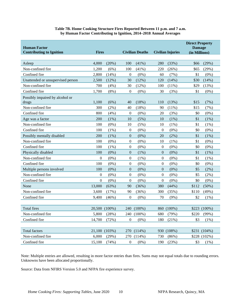| <b>Human Factor</b><br><b>Contributing to Ignition</b> | <b>Fires</b>   |               |                  | <b>Civilian Deaths</b> |                  | <b>Civilian Injuries</b> | <b>Direct Property</b><br><b>Damage</b><br>(in Millions) |              |
|--------------------------------------------------------|----------------|---------------|------------------|------------------------|------------------|--------------------------|----------------------------------------------------------|--------------|
| Asleep                                                 | 4,000          | (20%)         | 100              | (41%)                  | 280              | (33%)                    | \$66                                                     | (29%)        |
| Non-confined fire                                      | 1,200          | (6%)          | 100              | (41%)                  | 220              | (26%)                    | \$65                                                     | (29%)        |
| Confined fire                                          | 2,800          | (14%)         | $\mathbf{0}$     | $(0\%)$                | 60               | (7%)                     | \$1                                                      | $(0\%)$      |
| Unattended or unsupervised person                      | 2,500          | (12%)         | 30               | (12%)                  | 120              | (14%)                    | \$30                                                     | (14%)        |
| Non-confined fire                                      | 700            | (4%)          | 30               | (12%)                  | 100              | (11%)                    | \$29                                                     | (13%)        |
| Confined fire                                          | 1,700          | $(8\%)$       | $\mathbf{0}$     | $(0\%)$                | 30               | (3%)                     | \$1                                                      | $(0\%)$      |
| Possibly impaired by alcohol or<br>drugs               | 1,100          | (6%)          | 40               | (18%)                  | 110              | (13%)                    | \$15                                                     | (7%)         |
| Non-confined fire                                      | 300            | $(2\%)$       | 40               | (18%)                  | 90               | (11%)                    | \$15                                                     | (7%)         |
| Confined fire                                          | 800            | (4%)          | 0                | $(0\%)$                | 20               | (3%)                     | \$0                                                      | $(0\%)$      |
| Age was a factor                                       | 200            | (1%)          | 10               | (5%)                   | 10               | (1%)                     | \$1                                                      | $(1\%)$      |
| Non-confined fire                                      | 100            | $(0\%)$       | 10               | (5%)                   | 10               | $(1\%)$                  | \$1                                                      | (1%)         |
| Confined fire                                          | 100            | $(1\%)$       | $\boldsymbol{0}$ | $(0\%)$                | $\overline{0}$   | $(0\%)$                  | \$0                                                      | $(0\%)$      |
| Possibly mentally disabled                             | 200            | $(1\%)$       | $\boldsymbol{0}$ | $(0\%)$                | 20               | (2%)                     | \$1                                                      | (1%)         |
| Non-confined fire                                      | 100            | $(0\%)$       | $\boldsymbol{0}$ | $(0\%)$                | 10               | $(1\%)$                  | \$1                                                      | $(0\%)$      |
| Confined fire                                          | 100            | (1%)          | $\boldsymbol{0}$ | $(0\%)$                | $\boldsymbol{0}$ | $(0\%)$                  | \$0                                                      | $(0\%)$      |
| Physically disabled                                    | 100            | $(0\%)$       | $\overline{0}$   | (1%)                   | $\overline{0}$   | $(0\%)$                  | \$1                                                      | (1%)         |
| Non-confined fire                                      | $\overline{0}$ | $(0\%)$       | $\mathbf{0}$     | $(1\%)$                | $\overline{0}$   | $(0\%)$                  | \$1                                                      | $(1\%)$      |
| Confined fire                                          | 100            | $(0\%)$       | $\boldsymbol{0}$ | $(0\%)$                | $\boldsymbol{0}$ | $(0\%)$                  | \$0                                                      | $(0\%)$      |
| Multiple persons involved                              | 100            | $(0\%)$       | $\boldsymbol{0}$ | $(0\%)$                | $\boldsymbol{0}$ | $(0\%)$                  | \$5                                                      | (2%)         |
| Non-confined fire                                      | $\mathbf{0}$   | $(0\%)$       | $\overline{0}$   | $(0\%)$                | $\overline{0}$   | $(0\%)$                  | \$5                                                      | $(2\%)$      |
| Confined fire                                          | $\mathbf{0}$   | $(0\%)$       | $\overline{0}$   | $(0\%)$                | $\boldsymbol{0}$ | $(0\%)$                  | \$0                                                      | $(0\%)$      |
| None                                                   | 13,000         | (63%)         | 90               | (36%)                  | 380              | (44%)                    | \$112                                                    | (50%)        |
| Non-confined fire                                      | 3,600          | (17%)         | 90               | (36%)                  | 300              | (35%)                    | \$110                                                    | (49%)        |
| Confined fire                                          | 9,400          | (46%)         | $\boldsymbol{0}$ | $(0\%)$                | 70               | (9%)                     | \$2                                                      | (1%)         |
|                                                        |                |               |                  |                        |                  |                          |                                                          |              |
| <b>Total fires</b>                                     |                | 20,500 (100%) |                  | 240 (100%)             |                  | 860 (100%)               |                                                          | \$223 (100%) |
| Non-confined fire                                      | 5,800          | (28%)         | 240              | $(100\%)$              | 680              | (79%)                    | \$220                                                    | (99%)        |
| Confined fire                                          | 14,700         | (72%)         | $\boldsymbol{0}$ | $(0\%)$                | 180              | (21%)                    | \$3                                                      | $(1\%)$      |
|                                                        |                |               |                  |                        |                  |                          |                                                          |              |
| <b>Total factors</b>                                   |                | 21,100 (103%) | 270              | $(114\%)$              |                  | 930 (108%)               |                                                          | \$231 (104%) |
| Non-confined fire                                      | 6,000          | (29%)         | 270              | (114%)                 | 730              | (86%)                    |                                                          | \$228 (102%) |
| Confined fire                                          | 15,100         | (74%)         | 0                | (0%)                   | 190              | (23%)                    | \$3                                                      | (1%)         |

#### **Table 7B. Home Cooking Structure Fires Reported Between 11 p.m. and 7 a.m. by Human Factor Contributing to Ignition, 2014–2018 Annual Averages**

Note: Multiple entries are allowed, resulting in more factor entries than fires. Sums may not equal totals due to rounding errors. Unknowns have been allocated proportionally.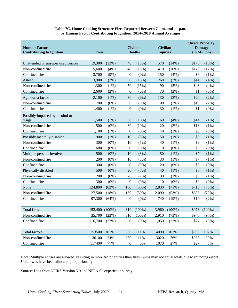| <b>Human Factor</b><br><b>Contributing to Ignition</b> | <b>Fires</b>   |         |                  | <b>Civilian</b><br><b>Deaths</b> | <b>Civilian</b><br><b>Injuries</b> |           |       | <b>Direct Property</b><br><b>Damage</b><br>(in Millions) |
|--------------------------------------------------------|----------------|---------|------------------|----------------------------------|------------------------------------|-----------|-------|----------------------------------------------------------|
| Unattended or unsupervised person                      | 19,300         | (13%)   | 40               | (13%)                            | 570                                | (14%)     | \$176 | (18%)                                                    |
| Non-confined fire                                      | 5,600          | (4%)    | 40               | (13%)                            | 410                                | (10%)     | \$170 | (17%)                                                    |
| Confined fire                                          | 13,700         | (9%)    | $\boldsymbol{0}$ | $(0\%)$                          | 150                                | (4%)      | \$6   | $(1\%)$                                                  |
| Asleep                                                 | 3,900          | (3%)    | 50               | (15%)                            | 260                                | (7%)      | \$44  | (4% )                                                    |
| Non-confined fire                                      | 1,300          | $(1\%)$ | 50               | (15%)                            | 190                                | (5%)      | \$43  | (4%)                                                     |
| Confined fire                                          | 2,600          | $(2\%)$ | $\boldsymbol{0}$ | $(0\%)$                          | 70                                 | $(2\%)$   | \$1   | $(0\%)$                                                  |
| Age was a factor                                       | 2,100          | (1%)    | 30               | $(9\%)$                          | 130                                | (3%)      | \$20  | (2%)                                                     |
| Non-confined fire                                      | 700            | $(0\%)$ | 30               | $(9\%)$                          | 100                                | (3%)      | \$19  | (2%)                                                     |
| Confined fire                                          | 1,400          | $(1\%)$ | $\boldsymbol{0}$ | $(0\%)$                          | 30                                 | $(1\%)$   | \$1   | $(0\%)$                                                  |
| Possibly impaired by alcohol or<br>drugs               | 1,500          | (1%)    | 30               | (10%)                            | 160                                | (4%)      | \$14  | $(1\%)$                                                  |
| Non-confined fire                                      | 500            | $(0\%)$ | 30               | (10%)                            | 120                                | (3%)      | \$13  | $(1\%)$                                                  |
| Confined fire                                          | 1,100          | $(1\%)$ | $\boldsymbol{0}$ | $(0\%)$                          | 40                                 | $(1\%)$   | \$0   | $(0\%)$                                                  |
| Possibly mentally disabled                             | 900            | (1%)    | 10               | (5%)                             | 50                                 | (1%)      | \$9   | (1%)                                                     |
| Non-confined fire                                      | 300            | $(0\%)$ | 10               | (5%)                             | 40                                 | (1%)      | \$9   | (1%)                                                     |
| Confined fire                                          | 600            | $(0\%)$ | $\boldsymbol{0}$ | $(0\%)$                          | 10                                 | $(0\%)$   | \$0   | $(0\%)$                                                  |
| Multiple persons involved                              | 500            | $(0\%)$ | 10               | (3%)                             | 50                                 | (1%)      | \$7   | (1%)                                                     |
| Non-confined fire                                      | 200            | $(0\%)$ | 10               | (3%)                             | 30                                 | $(1\%)$   | \$7   | (1%)                                                     |
| Confined fire                                          | 300            | $(0\%)$ | $\boldsymbol{0}$ | $(0\%)$                          | 20                                 | $(0\%)$   | \$0   | $(0\%)$                                                  |
| Physically disabled                                    | 500            | $(0\%)$ | 20               | (7%)                             | 40                                 | (1%)      | \$6   | (1%)                                                     |
| Non-confined fire                                      | 200            | $(0\%)$ | 20               | (7%)                             | 30                                 | $(1\%)$   | \$6   | (1%)                                                     |
| Confined fire                                          | 300            | $(0\%)$ | $\boldsymbol{0}$ | $(0\%)$                          | 10                                 | $(0\%)$   | \$0   | $(0\%)$                                                  |
| None                                                   | 124,800        | (82%)   | 160              | (50%)                            | 2,830                              | (71%)     | \$715 | (73%)                                                    |
| Non-confined fire                                      | 27,500         | (18%)   | 160              | (50%)                            | 2,090                              | (53%)     | \$696 | (72%)                                                    |
| Confined fire                                          | 97,300         | (64%)   | 0                | $(0\%)$                          | 740                                | (19%)     | \$19  | (2%)                                                     |
|                                                        |                |         |                  |                                  |                                    |           |       |                                                          |
| <b>Total fires</b>                                     | 152,400 (100%) |         |                  | 310 (100%)                       | 3,960                              | $(100\%)$ |       | \$973 (100%)                                             |
| Non-confined fire                                      | 35,700         | (23%)   | 310              | $(100\%)$                        | 2,910                              | (73%)     | \$946 | (97%)                                                    |
| Confined fire                                          | 116,700        | (77%)   | $\boldsymbol{0}$ | $(0\%)$                          | 1,050                              | (27%)     | \$27  | (3%)                                                     |
|                                                        |                |         |                  |                                  |                                    |           |       |                                                          |
| <b>Total factors</b>                                   | 153500         | 101%    | 350              | 111%                             | 4090                               | 103%      | \$990 | 102%                                                     |
| Non-confined fire                                      | 36100          | 24%     | 350              | 111%                             | 3020                               | 76%       | \$963 | 99%                                                      |
| Confined fire                                          | 117400         | 77%     | $\boldsymbol{0}$ | $0\%$                            | 1070                               | 27%       | \$27  | 3%                                                       |

#### **Table 7C. Home Cooking Structure Fires Reported Between 7 a.m. and 11 p.m. by Human Factor Contributing to Ignition, 2014–2018 Annual Averages**

Note: Multiple entries are allowed, resulting in more factor entries than fires. Sums may not equal totals due to rounding errors. Unknowns have been allocated proportionally.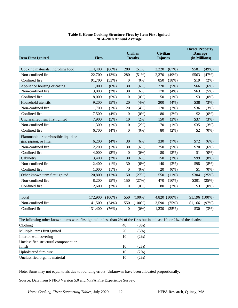#### **Table 8. Home Cooking Structure Fires by Item First Ignited 2014–2018 Annual Average**

<span id="page-12-0"></span>

| <b>Item First Ignited</b>                                                                                                 | <b>Fires</b> |           |                  | <b>Civilian</b><br><b>Deaths</b> | <b>Civilian</b><br><b>Injuries</b> |              | <b>Direct Property</b><br><b>Damage</b><br>(in Millions) |         |
|---------------------------------------------------------------------------------------------------------------------------|--------------|-----------|------------------|----------------------------------|------------------------------------|--------------|----------------------------------------------------------|---------|
| Cooking materials, including food                                                                                         | 114,400      | (66%)     | 280              | (51%)                            | 3,220                              | (67%)        | \$581                                                    | (49%)   |
| Non-confined fire                                                                                                         | 22,700       | (13%)     | 280              | (51%)                            | 2,370                              | (49%)        | \$563                                                    | (47%)   |
| Confined fire                                                                                                             | 91,700       | (53%)     | $\theta$         | $(0\%)$                          | 850                                | (18%)        | \$19                                                     | (2%)    |
| Appliance housing or casing                                                                                               | 11,000       | (6%)      | 30               | (6%)                             | 220                                | (5%)         | \$66                                                     | (6%)    |
| Non-confined fire                                                                                                         | 3,000        | (2%)      | 30               | (6%)                             | 170                                | (4%)         | \$63                                                     | (5%)    |
| Confined fire                                                                                                             | 8,000        | (5%)      | $\boldsymbol{0}$ | $(0\%)$                          | 50                                 | $(1\%)$      | \$3                                                      | $(0\%)$ |
| Household utensils                                                                                                        | 9,200        | (5%)      | 20               | (4%)                             | 200                                | (4%)         | \$38                                                     | (3%)    |
| Non-confined fire                                                                                                         | 1,700        | $(1\%)$   | 20               | (4%)                             | 120                                | $(2\%)$      | \$36                                                     | (3%)    |
| Confined fire                                                                                                             | 7,500        | (4%)      | $\boldsymbol{0}$ | $(0\%)$                          | 80                                 | (2%)         | \$2                                                      | $(0\%)$ |
| Unclassified item first ignited                                                                                           | 7,900        | (5%)      | 10               | $(2\%)$                          | 150                                | (3%)         | \$37                                                     | (3%)    |
| Non-confined fire                                                                                                         | 1,300        | (1%)      | 10               | (2%)                             | 70                                 | $(1\%)$      | \$35                                                     | (3%)    |
| Confined fire                                                                                                             | 6,700        | (4%)      | $\overline{0}$   | $(0\%)$                          | 80                                 | $(2\%)$      | \$2                                                      | $(0\%)$ |
| Flammable or combustible liquid or<br>gas, piping, or filter                                                              | 6,200        | (4%)      | 30               | $(6\%)$                          | 330                                | (7%)         | \$72                                                     | (6%)    |
| Non-confined fire                                                                                                         | 2,200        | $(1\%)$   | 30               | (6%)                             | 250                                | (5%)         | \$70                                                     | (6%)    |
| Confined fire                                                                                                             | 4,000        | $(2\%)$   | $\boldsymbol{0}$ | $(0\%)$                          | 80                                 | $(2\%)$      | \$1                                                      | $(0\%)$ |
| Cabinetry                                                                                                                 | 3,400        | $(2\%)$   | 30               | (6%)                             | 150                                | (3%)         | \$99                                                     | (8%)    |
| Non-confined fire                                                                                                         | 2,400        | $(1\%)$   | 30               | (6%)                             | 140                                | (3%)         | \$98                                                     | (8%)    |
| Confined fire                                                                                                             | 1,000        | $(1\%)$   | $\boldsymbol{0}$ | $(0\%)$                          | 20                                 | $(0\%)$      | \$1                                                      | $(0\%)$ |
| Other known item first ignited                                                                                            | 20,800       | (12%)     | 150              | (27%)                            | 550                                | (11%)        | \$304                                                    | (25%)   |
| Non-confined fire                                                                                                         | 8,200        | (5%)      | 150              | (27%)                            | 470                                | (10%)        | \$301                                                    | (25%)   |
| Confined fire                                                                                                             | 12,600       | (7%)      | $\mathbf{0}$     | $(0\%)$                          | 80                                 | $(2\%)$      | \$3                                                      | $(0\%)$ |
|                                                                                                                           |              |           |                  |                                  |                                    |              |                                                          |         |
| Total                                                                                                                     | 172,900      | $(100\%)$ | 550              | $(100\%)$                        |                                    | 4,820 (100%) | $$1,196(100\%)$                                          |         |
| Non-confined fire                                                                                                         | 41,500       | (24%)     | 550              | $(100\%)$                        | 3,590                              | (75%)        | \$1,166                                                  | (97%)   |
| Confined fire                                                                                                             | 131,400      | (76%)     | $\mathbf{0}$     | $(0\%)$                          | 1,230                              | (25%)        | \$30                                                     | (3%)    |
| The following other known items were first ignited in less than 2% of the fires but in at least 10, or 2%, of the deaths: |              |           |                  |                                  |                                    |              |                                                          |         |
| Clothing                                                                                                                  |              |           | 40               | (8%)                             |                                    |              |                                                          |         |
| Multiple items first ignited                                                                                              |              |           | 20               | (3%)                             |                                    |              |                                                          |         |
| Interior wall covering                                                                                                    |              |           | 10               | $(2\%)$                          |                                    |              |                                                          |         |
| Unclassified structural component or<br>finish                                                                            |              |           | 10               | $(2\%)$                          |                                    |              |                                                          |         |
| Upholstered furniture                                                                                                     |              |           | $10\,$           | $(2\%)$                          |                                    |              |                                                          |         |
| Unclassified organic material                                                                                             |              |           | 10               | $(2\%)$                          |                                    |              |                                                          |         |

Note: Sums may not equal totals due to rounding errors. Unknowns have been allocated proportionally.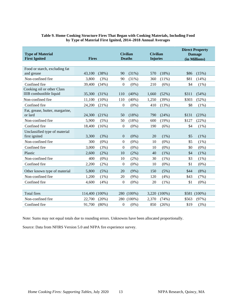<span id="page-13-0"></span>

| <b>Type of Material</b>                                      |                |          |                | <b>Civilian</b> | <b>Civilian</b> |           |       | <b>Direct Property</b><br><b>Damage</b> |
|--------------------------------------------------------------|----------------|----------|----------------|-----------------|-----------------|-----------|-------|-----------------------------------------|
| <b>First Ignited</b>                                         | <b>Fires</b>   |          |                | <b>Deaths</b>   | <b>Injuries</b> |           |       | (in Millions)                           |
|                                                              |                |          |                |                 |                 |           |       |                                         |
| Food or starch, excluding fat                                |                |          |                |                 |                 |           |       |                                         |
| and grease                                                   | 43,100         | (38%)    | 90             | (31%)           | 570             | (18%)     | \$86  | (15%)                                   |
| Non-confined fire                                            | 3,800          | (3%)     | 90             | (31%)           | 360             | (11%)     | \$81  | (14%)                                   |
| Confined fire                                                | 39,400         | (34%)    | $\overline{0}$ | $(0\%)$         | 210             | (6%)      | \$4   | $(1\%)$                                 |
| Cooking oil or other Class<br><b>IIIB</b> combustible liquid | 35,300         | (31%)    | 110            | $(40\%)$        | 1,660           | (52%)     | \$311 | (54%)                                   |
| Non-confined fire                                            | 11,100         | $(10\%)$ | 110            | $(40\%)$        | 1,250           | (39%)     | \$303 | (52%)                                   |
| Confined fire                                                | 24,200         | (21%)    | $\overline{0}$ | $(0\%)$         | 410             | (13%)     | \$8   | $(1\%)$                                 |
| Fat, grease, butter, margarine,<br>or lard                   | 24,300         | (21%)    | 50             | (18%)           | 790             | (24%)     | \$131 | (23%)                                   |
| Non-confined fire                                            | 5,900          | (5%)     | 50             | (18%)           | 600             | (19%)     | \$127 | (22%)                                   |
| Confined fire                                                | 18,400         | (16%)    | $\overline{0}$ | $(0\%)$         | 190             | (6%)      | \$4   | $(1\%)$                                 |
| Unclassified type of material                                |                |          |                |                 |                 |           |       |                                         |
| first ignited                                                | 3,300          | (3%)     | $\overline{0}$ | $(0\%)$         | 20              | (1%)      | \$5   | $(1\%)$                                 |
| Non-confined fire                                            | 300            | $(0\%)$  | $\overline{0}$ | $(0\%)$         | 10              | $(0\%)$   | \$5   | $(1\%)$                                 |
| Confined fire                                                | 3,000          | (3%)     | $\overline{0}$ | $(0\%)$         | 10              | $(0\%)$   | \$0   | $(0\%)$                                 |
| Plastic                                                      | 2,600          | (2%)     | 10             | $(2\%)$         | 40              | $(1\%)$   | \$4   | (1%)                                    |
| Non-confined fire                                            | 400            | $(0\%)$  | 10             | $(2\%)$         | 30              | $(1\%)$   | \$3   | $(1\%)$                                 |
| Confined fire                                                | 2,200          | $(2\%)$  | $\overline{0}$ | $(0\%)$         | 10              | $(0\%)$   | \$1   | $(0\%)$                                 |
| Other known type of material                                 | 5,800          | (5%)     | 20             | (9%)            | 150             | (5%)      | \$44  | (8%)                                    |
| Non-confined fire                                            | 1,200          | (1%)     | 20             | (9%)            | 120             | (4%)      | \$43  | (7%)                                    |
| Confined fire                                                | 4,600          | (4%)     | $\overline{0}$ | $(0\%)$         | 20              | $(1\%)$   | \$1   | $(0\%)$                                 |
|                                                              |                |          |                |                 |                 |           |       |                                         |
| <b>Total fires</b>                                           | 114,400 (100%) |          | 280            | $(100\%)$       | 3,220           | $(100\%)$ | \$581 | $(100\%)$                               |
| Non-confined fire                                            | 22,700         | (20%)    | 280            | $(100\%)$       | 2,370           | (74%)     | \$563 | (97%)                                   |
| Confined fire                                                | 91,700         | $(80\%)$ | $\overline{0}$ | $(0\%)$         | 850             | (26%)     | \$19  | (3%)                                    |

## **Table 9. Home Cooking Structure Fires That Began with Cooking Materials, Including Food by Type of Material First Ignited, 2014–2018 Annual Averages**

Note: Sums may not equal totals due to rounding errors. Unknowns have been allocated proportionally.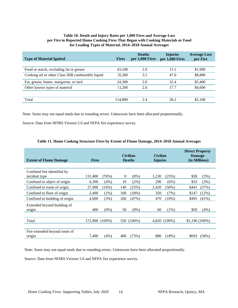#### **Table 10. Death and Injury Rates per 1,000 Fires and Average Loss per Fire in Reported Home Cooking Fires That Began with Cooking Materials or Food for Leading Types of Material, 2014–2018 Annual Averages**

<span id="page-14-0"></span>

| <b>Type of Material Ignited</b>                    | <b>Fires</b> | <b>Deaths</b><br>per 1,000 Fires | <b>Injuries</b><br>per 1,000 Fires | <b>Average Loss</b><br>per Fire |
|----------------------------------------------------|--------------|----------------------------------|------------------------------------|---------------------------------|
|                                                    |              |                                  |                                    |                                 |
| Food or starch, excluding fat or grease            | 43,100       | 2.0                              | 13.1                               | \$1,900                         |
| Cooking oil or other Class IIIB combustible liquid | 35,300       | 3.1                              | 47.0                               | \$8,800                         |
| Fat, grease, butter, margarine, or lard            | 24,300       | 2.0                              | 32.4                               | \$5,400                         |
| Other known types of material                      | 11.200       | 2.6                              | 17.7                               | \$4,600                         |
|                                                    |              |                                  |                                    |                                 |
| Total                                              | 114,800      | 2.4                              | 28.2                               | \$5,100                         |

Note: Sums may not equal totals due to rounding errors. Unknowns have been allocated proportionally.

Source: Data from NFIRS Version 5.0 and NFPA fire experience survey.

<span id="page-14-1"></span>

| <b>Extent of Flame Damage</b>                |                | <b>Fires</b> |                | <b>Civilian</b><br><b>Deaths</b> | <b>Civilian</b><br><b>Injuries</b> |              | <b>Direct Property</b><br><b>Damage</b><br>(in Millions) |          |
|----------------------------------------------|----------------|--------------|----------------|----------------------------------|------------------------------------|--------------|----------------------------------------------------------|----------|
| Confined fire identified by<br>incident type | 131,400        | (76%)        | $\overline{0}$ | $(0\%)$                          | 1,230                              | (25%)        | \$30                                                     | (3%)     |
| Confined to object of origin                 | 6,300          | (4%)         | 10             | (2%)                             | 290                                | (6%)         | \$33                                                     | (3%)     |
| Confined to room of origin                   | 27,900         | $(16\%)$     | 140            | (25%)                            | 2,420                              | $(50\%)$     | \$441                                                    | (37%)    |
| Confined to floor of origin                  | 2,400          | (1%)         | 100            | (18%)                            | 350                                | (7%)         | \$147                                                    | (12%)    |
| Confined to building of origin               | 4,600          | (3%)         | 260            | (47%)                            | 470                                | $(10\%)$     | \$495                                                    | $(41\%)$ |
| Extended beyond building of<br>origin        | 400            | $(0\%)$      | 50             | $(9\%)$                          | 60                                 | (1%)         | \$50                                                     | (4%)     |
| Total                                        | 172,900 (100%) |              |                | 550 (100%)                       |                                    | 4.820 (100%) | $$1,196(100\%)$                                          |          |
|                                              |                |              |                |                                  |                                    |              |                                                          |          |
| Fire extended beyond room of<br>origin       | 7,400          | (4%)         | 400            | (73%)                            | 880                                | (18%)        | \$693                                                    | (58%)    |

#### **Table 11. Home Cooking Structure Fires by Extent of Flame Damage, 2014–2018 Annual Averages**

Note: Sums may not equal totals due to rounding errors. Unknowns have been allocated proportionally.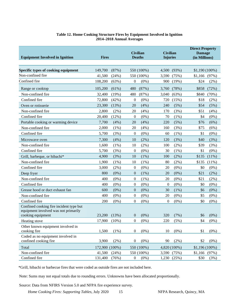### **Table 12. Home Cooking Structure Fires by Equipment Involved in Ignition 2014–2018 Annual Averages**

<span id="page-15-0"></span>

| <b>Equipment Involved in Ignition</b>                                                                | <b>Fires</b>   |         | <b>Civilian</b><br><b>Civilian</b><br><b>Deaths</b><br><b>Injuries</b> |            |          | <b>Direct Property</b><br><b>Damage</b><br>(in Millions) |                 |         |
|------------------------------------------------------------------------------------------------------|----------------|---------|------------------------------------------------------------------------|------------|----------|----------------------------------------------------------|-----------------|---------|
| Specific types of cooking equipment                                                                  | 149,700        | (87%)   |                                                                        | 550 (100%) | 4,500    | (93%)                                                    | $$1,190(100\%)$ |         |
| Non-confined fire                                                                                    | 41,500         | (24%)   |                                                                        | 550 (100%) | 3,590    | (75%)                                                    | \$1,166         | (97%)   |
| Confined fire                                                                                        | 108,200        | (63%)   | $\boldsymbol{0}$                                                       | $(0\%)$    | 900      | (19%)                                                    | \$24            | (2%)    |
| Range or cooktop                                                                                     | 105,200        | (61%)   | 480                                                                    | (87%)      | 3,760    | (78%)                                                    | \$858           | (72%)   |
| Non-confined fire                                                                                    | 32,400         | (19%)   | 480                                                                    | (87%)      | 3,040    | (63%)                                                    | \$840           | (70%)   |
| Confined fire                                                                                        | 72,800         | (42%)   | $\theta$                                                               | $(0\%)$    | 720      | (15%)                                                    | \$18            | $(2\%)$ |
| Oven or rotisserie                                                                                   | 23,300         | (13%)   | 20                                                                     | (4%)       | 240      | (5%)                                                     | \$54            | (5%)    |
| Non-confined fire                                                                                    | 2,800          | (2%)    | 20                                                                     | (4%)       | 170      | (3%)                                                     | \$51            | (4%)    |
| Confined fire                                                                                        | 20,400         | (12%)   | $\theta$                                                               | $(0\%)$    | 70       | $(1\%)$                                                  | \$4             | $(0\%)$ |
| Portable cooking or warming device                                                                   | 7,700          | (4%)    | 20                                                                     | (4%)       | 220      | (5%)                                                     | \$76            | (6%)    |
| Non-confined fire                                                                                    | 2,000          | $(1\%)$ | 20                                                                     | (4% )      | 160      | (3%)                                                     | \$75            | (6%)    |
| Confined fire                                                                                        | 5,700          | (3%)    | $\boldsymbol{0}$                                                       | $(0\%)$    | 60       | $(1\%)$                                                  | \$1             | $(0\%)$ |
| Microwave oven                                                                                       | 7,300          | (4%)    | 10                                                                     | $(2\%)$    | 120      | (3%)                                                     | \$40            | (3%)    |
| Non-confined fire                                                                                    | 1,600          | (1%)    | 10                                                                     | $(2\%)$    | 100      | $(2\%)$                                                  | \$39            | (3%)    |
| Confined fire                                                                                        | 5,700          | (3%)    | $\boldsymbol{0}$                                                       | $(0\%)$    | 30       | (1%)                                                     | \$1             | $(0\%)$ |
| Grill, barbeque, or hibachi*                                                                         | 4,900          | (3%)    | 10                                                                     | (1%)       | 100      | (2%)                                                     | \$135           | (11%)   |
| Non-confined fire                                                                                    | 1,900          | (1%)    | 10                                                                     | $(1\%)$    | 80       | (2%)                                                     | \$135           | (11%)   |
| Confined fire                                                                                        | 3,000          | $(2\%)$ | $\boldsymbol{0}$                                                       | $(0\%)$    | 20       | $(0\%)$                                                  | \$0             | $(0\%)$ |
| Deep fryer                                                                                           | 800            | $(0\%)$ | $\mathbf{0}$                                                           | (1%)       | 20       | $(0\%)$                                                  | \$21            | $(2\%)$ |
| Non-confined fire                                                                                    | 400            | $(0\%)$ | $\boldsymbol{0}$                                                       | $(1\%)$    | 20       | $(0\%)$                                                  | \$21            | (2%)    |
| Confined fire                                                                                        | 400            | $(0\%)$ | $\overline{0}$                                                         | $(0\%)$    | $\theta$ | $(0\%)$                                                  | \$0             | $(0\%)$ |
| Grease hood or duct exhaust fan                                                                      | 600            | $(0\%)$ | $\boldsymbol{0}$                                                       | $(0\%)$    | 30       | (1%)                                                     | \$6             | $(0\%)$ |
| Non-confined fire                                                                                    | 400            | $(0\%)$ | $\boldsymbol{0}$                                                       | $(0\%)$    | 20       | $(0\%)$                                                  | \$5             | $(0\%)$ |
| Confined fire                                                                                        | 200            | $(0\%)$ | $\overline{0}$                                                         | $(0\%)$    | 0        | $(0\%)$                                                  | \$0             | $(0\%)$ |
| Confined cooking fire incident type but<br>equipment involved was not primarily<br>cooking equipment | 23,200         | (13%)   | $\mathbf{0}$                                                           | $(0\%)$    | 320      | (7%)                                                     | \$6             | $(0\%)$ |
| Heating stove                                                                                        | 17,900         | (10%)   | $\boldsymbol{0}$                                                       | $(0\%)$    | 220      | (5%)                                                     | \$4             | $(0\%)$ |
| Other known equipment involved in<br>cooking fire                                                    | 1,500          | $(1\%)$ | $\boldsymbol{0}$                                                       | $(0\%)$    | 10       | $(0\%)$                                                  | \$1             | $(0\%)$ |
| Coded as no equipment involved in<br>confined cooking fire                                           | 3,900          | (2%)    | $\boldsymbol{0}$                                                       | $(0\%)$    | 90       | $(2\%)$                                                  | \$2             | $(0\%)$ |
| Total                                                                                                | 172,900 (100%) |         |                                                                        | 550 (100%) |          | 4,820 (100%)                                             | $$1,196(100\%)$ |         |
| Non-confined fire                                                                                    | 41,500         | (24%)   |                                                                        | 550 (100%) |          | 3,590 (75%)                                              | $$1,166$ (97%)  |         |
| Confined fire                                                                                        | 131,400        | (76%)   | $\boldsymbol{0}$                                                       | $(0\%)$    | 1,230    | (25%)                                                    | \$30            | (3%)    |

\*Grill, hibachi or barbecue fires that were coded as outside fires are not included here.

Note: Sums may not equal totals due to rounding errors. Unknowns have been allocated proportionally.

Source: Data from NFIRS Version 5.0 and NFPA fire experience survey.

*Home Cooking Fires: Supporting Tables, July 2020* 15 NFPA Research, Quincy, MA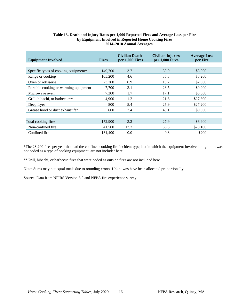# **Table 13. Death and Injury Rates per 1,000 Reported Fires and Average Loss per Fire by Equipment Involved in Reported Home Cooking Fires 2014–2018 Annual Averages**

<span id="page-16-0"></span>

| <b>Equipment Involved</b>             | <b>Fires</b> | <b>Civilian Deaths</b><br>per 1,000 Fires | <b>Civilian Injuries</b><br>per 1,000 Fires | <b>Average Loss</b><br>per Fire |
|---------------------------------------|--------------|-------------------------------------------|---------------------------------------------|---------------------------------|
|                                       |              |                                           |                                             |                                 |
| Specific types of cooking equipment*  | 149,700      | 3.7                                       | 30.0                                        | \$8,000                         |
| Range or cooktop                      | 105,200      | 4.6                                       | 35.8                                        | \$8,200                         |
| Oven or rotisserie                    | 23,300       | 0.9                                       | 10.2                                        | \$2,300                         |
| Portable cooking or warming equipment | 7,700        | 3.1                                       | 28.5                                        | \$9,900                         |
| Microwave oven                        | 7,300        | 1.7                                       | 17.1                                        | \$5,500                         |
| Grill, hibachi, or barbecue**         | 4,900        | 1.2                                       | 21.6                                        | \$27,800                        |
| Deep fryer                            | 800          | 5.4                                       | 25.9                                        | \$27,200                        |
| Grease hood or duct exhaust fan       | 600          | 3.4                                       | 45.1                                        | \$9,500                         |
|                                       |              |                                           |                                             |                                 |
| Total cooking fires                   | 172,900      | 3.2                                       | 27.9                                        | \$6,900                         |
| Non-confined fire.                    | 41,500       | 13.2                                      | 86.5                                        | \$28,100                        |
| Confined fire                         | 131,400      | 0.0                                       | 9.3                                         | \$200                           |

\*The 23,200 fires per year that had the confined cooking fire incident type, but in which the equipment involved in ignition was not coded as a type of cooking equipment, are not includedhere.

\*\*Grill, hibachi, or barbecue fires that were coded as outside fires are not included here.

Note: Sums may not equal totals due to rounding errors. Unknowns have been allocated proportionally.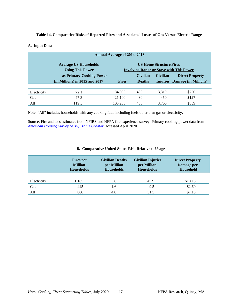#### <span id="page-17-0"></span>**Table 14. Comparative Risks of Reported Fires and Associated Losses of Gas Versus Electric Ranges**

#### **A. Input Data**

|             | <b>Annual Average of 2014–2018</b>                                                  |              |                                                                                                                                                   |       |                               |  |  |  |  |  |  |
|-------------|-------------------------------------------------------------------------------------|--------------|---------------------------------------------------------------------------------------------------------------------------------------------------|-------|-------------------------------|--|--|--|--|--|--|
|             | <b>Average US Households</b><br><b>Using This Power</b><br>as Primary Cooking Power |              | <b>US Home Structure Fires</b><br><b>Involving Range or Stove with This Power</b><br><b>Civilian</b><br><b>Civilian</b><br><b>Direct Property</b> |       |                               |  |  |  |  |  |  |
|             | $(in$ Millions) in 2015 and 2017                                                    | <b>Fires</b> | <b>Deaths</b>                                                                                                                                     |       | Injuries Damage (in Millions) |  |  |  |  |  |  |
|             |                                                                                     |              |                                                                                                                                                   |       |                               |  |  |  |  |  |  |
| Electricity | 72.1                                                                                | 84,000       | 400                                                                                                                                               | 3,310 | \$730                         |  |  |  |  |  |  |
| Gas         | 47.3                                                                                | 21,100       | 80                                                                                                                                                | 450   | \$127                         |  |  |  |  |  |  |
| All         | 119.5                                                                               | 105.200      | 480                                                                                                                                               | 3,760 | \$859                         |  |  |  |  |  |  |

Note: "All" includes households with any cooking fuel, including fuels other than gas or electricity.

Source: Fire and loss estimates from NFIRS and NFPA fire experience survey. Primary cooking power data from *[American Housing Survey](https://www.census.gov/programs-surveys/ahs/data/interactive/ahstablecreator.html) (AHS) Table Creator*, accessed April 2020.

#### **B. Comparative United States Risk Relative to Usage**

|             | <b>Fires</b> per<br><b>Million</b><br><b>Households</b> | <b>Civilian Deaths</b><br>per Million<br><b>Households</b> | <b>Civilian Injuries</b><br>per Million<br><b>Households</b> | <b>Direct Property</b><br>Damage per<br>Household |
|-------------|---------------------------------------------------------|------------------------------------------------------------|--------------------------------------------------------------|---------------------------------------------------|
|             |                                                         |                                                            |                                                              |                                                   |
| Electricity | 1,165                                                   | 5.6                                                        | 45.9                                                         | \$10.13                                           |
| Gas         | 445                                                     | 1.6                                                        | 9.5                                                          | \$2.69                                            |
| All         | 880                                                     | 4.0                                                        | 31.5                                                         | \$7.18                                            |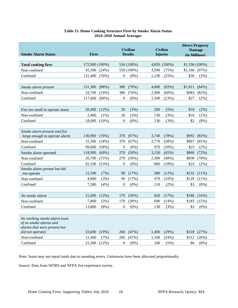# **Table 15. Home Cooking Structure Fires by Smoke Alarm Status 2014–2018 Annual Averages**

<span id="page-18-0"></span>

| <b>Smoke Alarm Status</b>                                                                                                                                                                                   | <b>Fires</b>                                                                                                                                        | <b>Civilian</b><br><b>Deaths</b>                                                                                                                          | <b>Civilian</b><br><b>Injuries</b>                                                                                                         | <b>Direct Property</b><br><b>Damage</b><br>(in Millions)                                                                                             |
|-------------------------------------------------------------------------------------------------------------------------------------------------------------------------------------------------------------|-----------------------------------------------------------------------------------------------------------------------------------------------------|-----------------------------------------------------------------------------------------------------------------------------------------------------------|--------------------------------------------------------------------------------------------------------------------------------------------|------------------------------------------------------------------------------------------------------------------------------------------------------|
| <b>Total cooking fires</b>                                                                                                                                                                                  | 172,900 (100%)                                                                                                                                      | 550 (100%)                                                                                                                                                | 4,820 (100%)                                                                                                                               | $$1,196(100\%)$                                                                                                                                      |
| Non-confined                                                                                                                                                                                                | 41,500<br>(24%)                                                                                                                                     | 550 (100%)                                                                                                                                                | 3,590<br>(75%)                                                                                                                             | \$1,166<br>(97%)                                                                                                                                     |
| Confined                                                                                                                                                                                                    | 131,400                                                                                                                                             | $\overline{0}$                                                                                                                                            | 1,230                                                                                                                                      | \$30                                                                                                                                                 |
|                                                                                                                                                                                                             | (76%)                                                                                                                                               | $(0\%)$                                                                                                                                                   | (25%)                                                                                                                                      | (3%)                                                                                                                                                 |
|                                                                                                                                                                                                             |                                                                                                                                                     |                                                                                                                                                           |                                                                                                                                            |                                                                                                                                                      |
| Smoke alarm present                                                                                                                                                                                         | (88%)                                                                                                                                               | 380                                                                                                                                                       | 4,000                                                                                                                                      | \$1,011                                                                                                                                              |
|                                                                                                                                                                                                             | 151,300                                                                                                                                             | (70%)                                                                                                                                                     | (83%)                                                                                                                                      | (84%)                                                                                                                                                |
| Non-confined                                                                                                                                                                                                | 33,700                                                                                                                                              | 380                                                                                                                                                       | 2,900                                                                                                                                      | \$983                                                                                                                                                |
|                                                                                                                                                                                                             | (19%)                                                                                                                                               | (70%)                                                                                                                                                     | $(60\%)$                                                                                                                                   | (82%)                                                                                                                                                |
| Confined                                                                                                                                                                                                    | 117,600                                                                                                                                             | $\boldsymbol{0}$                                                                                                                                          | 1,100                                                                                                                                      | \$27                                                                                                                                                 |
|                                                                                                                                                                                                             | (68%)                                                                                                                                               | $(0\%)$                                                                                                                                                   | (23%)                                                                                                                                      | (2%)                                                                                                                                                 |
|                                                                                                                                                                                                             |                                                                                                                                                     |                                                                                                                                                           |                                                                                                                                            |                                                                                                                                                      |
| Fire too small to operate alarm                                                                                                                                                                             | (12%)                                                                                                                                               | 20                                                                                                                                                        | (5%)                                                                                                                                       | \$18                                                                                                                                                 |
|                                                                                                                                                                                                             | 20,400                                                                                                                                              | (3%)                                                                                                                                                      | 260                                                                                                                                        | $(2\%)$                                                                                                                                              |
| Non-confined                                                                                                                                                                                                | 2,400                                                                                                                                               | 20                                                                                                                                                        | 130                                                                                                                                        | \$16                                                                                                                                                 |
|                                                                                                                                                                                                             | $(1\%)$                                                                                                                                             | (3%)                                                                                                                                                      | (3%)                                                                                                                                       | $(1\%)$                                                                                                                                              |
| Confined                                                                                                                                                                                                    | 18,000                                                                                                                                              | $\boldsymbol{0}$                                                                                                                                          | (3%)                                                                                                                                       | \$2                                                                                                                                                  |
|                                                                                                                                                                                                             | $(10\%)$                                                                                                                                            | $(0\%)$                                                                                                                                                   | 130                                                                                                                                        | $(0\%)$                                                                                                                                              |
| Smoke alarm present and fire<br>large enough to operate alarm<br>Non-confined<br>Confined<br>Smoke alarm operated<br>Non-confined<br>Confined<br>Smoke alarm present but did<br>not operate<br>Non-confined | 130,900<br>(76%)<br>(18%)<br>31,300<br>(58%)<br>99,600<br>118,900<br>(69%)<br>(15%)<br>26,700<br>92,100<br>(53%)<br>12,100<br>(7%)<br>4,600<br>(3%) | 370<br>(67%)<br>370<br>(67%)<br>$\overline{0}$<br>$(0\%)$<br>270<br>(50%)<br>270<br>$(50\%)$<br>$\boldsymbol{0}$<br>$(0\%)$<br>90<br>(17%)<br>90<br>(17%) | 3,740<br>(78%)<br>2,770<br>(58%)<br>970<br>(20%)<br>3,150<br>(65%)<br>2,300<br>(48%)<br>860<br>(18%)<br>580<br>$(12\%)$<br>470<br>$(10\%)$ | \$992<br>(83%)<br>\$967<br>$(81\%)$<br>\$25<br>(2%)<br>\$860<br>(72%)<br>(70%)<br>\$838<br>\$22<br>$(2\%)$<br>$(11\%)$<br>\$132<br>\$129<br>$(11\%)$ |
| Confined                                                                                                                                                                                                    | 7,500                                                                                                                                               | $\boldsymbol{0}$                                                                                                                                          | 110                                                                                                                                        | \$3                                                                                                                                                  |
|                                                                                                                                                                                                             | (4%)                                                                                                                                                | $(0\%)$                                                                                                                                                   | $(2\%)$                                                                                                                                    | $(0\%)$                                                                                                                                              |
| No smoke alarm<br>Non-confined<br>Confined                                                                                                                                                                  | (12%)<br>21,600<br>7,800<br>(5%)<br>13,800<br>$(8\%)$                                                                                               | 170<br>(30%)<br>170<br>(30%)<br>$\mathbf{0}$<br>$(0\%)$                                                                                                   | 820<br>(17%)<br>690<br>(14%)<br>130<br>(3%)                                                                                                | \$186<br>(16%)<br>\$183<br>(15%)<br>\$3<br>$(0\%)$                                                                                                   |
| No working smoke alarm (sum<br>of no smoke alarms and<br>alarms that were present but<br>did not operate)<br>Non-confined                                                                                   | 33,600<br>(19%)<br>12,400<br>(7%)                                                                                                                   | (47%)<br>260<br>260<br>(47%)                                                                                                                              | 1,400<br>(29%)<br>1,160<br>(24%)                                                                                                           | (27%)<br>\$318<br>\$312<br>(26%)                                                                                                                     |
| Confined                                                                                                                                                                                                    | 21,300                                                                                                                                              | $\boldsymbol{0}$                                                                                                                                          | 240                                                                                                                                        | \$6                                                                                                                                                  |
|                                                                                                                                                                                                             | (12%)                                                                                                                                               | $(0\%)$                                                                                                                                                   | $(5\%)$                                                                                                                                    | $(0\%)$                                                                                                                                              |

Note: Sums may not equal totals due to rounding errors. Unknowns have been allocated proportionally.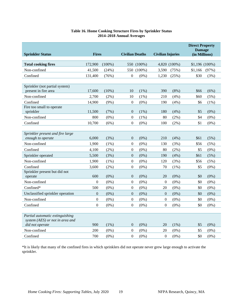# **Table 16. Home Cooking Structure Fires by Sprinkler Status 2014–2018 Annual Averages**

<span id="page-19-0"></span>

|                                                                                       |                  |           | <b>Civilian Deaths</b><br><b>Civilian Injuries</b> |           |                  |              | <b>Direct Property</b><br><b>Damage</b><br>(in Millions) |         |
|---------------------------------------------------------------------------------------|------------------|-----------|----------------------------------------------------|-----------|------------------|--------------|----------------------------------------------------------|---------|
| <b>Sprinkler Status</b>                                                               | <b>Fires</b>     |           |                                                    |           |                  |              |                                                          |         |
| <b>Total cooking fires</b>                                                            | 172,900          | $(100\%)$ | 550                                                | $(100\%)$ |                  | 4,820 (100%) | $$1,196(100\%)$                                          |         |
| Non-confined                                                                          | 41,500           | (24%)     | 550                                                | $(100\%)$ | 3,590            | (75%)        | \$1,166                                                  | (97%)   |
| Confined                                                                              | 131,400          | (76%)     | $\mathbf{0}$                                       | $(0\%)$   | 1,230            | (25%)        | \$30                                                     | (3%)    |
|                                                                                       |                  |           |                                                    |           |                  |              |                                                          |         |
| Sprinkler (not partial system)<br>present in fire area                                | 17,600           | $(10\%)$  | 10                                                 | (1%)      | 390              | $(8\%)$      | \$66                                                     | (6%)    |
| Non-confined                                                                          | 2,700            | (2%)      | 10                                                 | $(1\%)$   | 210              | (4%)         | \$60                                                     | (5%)    |
| Confined                                                                              | 14,900           | $(9\%)$   | $\Omega$                                           | $(0\%)$   | 190              | (4%)         | \$6                                                      | $(1\%)$ |
| Fire too small to operate                                                             |                  |           |                                                    |           |                  |              |                                                          |         |
| sprinkler                                                                             | 11,500           | (7%)      | $\theta$                                           | (1%)      | 180              | (4%)         | \$5                                                      | $(0\%)$ |
| Non-confined                                                                          | 800              | $(0\%)$   | $\theta$                                           | $(1\%)$   | 80               | (2%)         | \$4                                                      | $(0\%)$ |
| Confined                                                                              | 10,700           | (6%)      | $\boldsymbol{0}$                                   | $(0\%)$   | 100              | $(2\%)$      | \$1                                                      | $(0\%)$ |
|                                                                                       |                  |           |                                                    |           |                  |              |                                                          |         |
| Sprinkler present and fire large<br>enough to operate                                 | 6.000            | (3%)      | $\theta$                                           | $(0\%)$   | 210              | (4%)         | \$61                                                     | (5%)    |
| Non-confined                                                                          | 1,900            | $(1\%)$   | $\theta$                                           | $(0\%)$   | 130              | (3%)         | \$56                                                     | (5%)    |
| Confined                                                                              | 4,100            | (2%)      | $\boldsymbol{0}$                                   | $(0\%)$   | 80               | $(2\%)$      | \$5                                                      | $(0\%)$ |
| Sprinkler operated                                                                    | 5,500            | (3%)      | $\overline{0}$                                     | $(0\%)$   | 190              | (4%)         | \$61                                                     | (5%)    |
| Non-confined                                                                          | 1,900            | $(1\%)$   | $\boldsymbol{0}$                                   | $(0\%)$   | 120              | (3%)         | \$56                                                     | $(5\%)$ |
| Confined                                                                              | 3,600            | (2%)      | $\overline{0}$                                     | $(0\%)$   | 70               | $(1\%)$      | \$5                                                      | $(0\%)$ |
| Sprinkler present but did not                                                         |                  |           |                                                    |           |                  |              |                                                          |         |
| operate                                                                               | 600              | $(0\%)$   | $\overline{0}$                                     | $(0\%)$   | 20               | $(0\%)$      | \$0                                                      | $(0\%)$ |
| Non-confined                                                                          | $\boldsymbol{0}$ | $(0\%)$   | $\boldsymbol{0}$                                   | $(0\%)$   | $\overline{0}$   | $(0\%)$      | \$0                                                      | $(0\%)$ |
| Confined*                                                                             | 500              | $(0\%)$   | $\boldsymbol{0}$                                   | $(0\%)$   | 20               | $(0\%)$      | \$0                                                      | $(0\%)$ |
| Unclassified sprinkler operation                                                      | $\boldsymbol{0}$ | $(0\%)$   | $\mathbf{0}$                                       | $(0\%)$   | $\theta$         | $(0\%)$      | \$0                                                      | $(0\%)$ |
| Non-confined                                                                          | $\boldsymbol{0}$ | $(0\%)$   | $\theta$                                           | $(0\%)$   | $\boldsymbol{0}$ | $(0\%)$      | \$0                                                      | $(0\%)$ |
| Confined                                                                              | $\overline{0}$   | $(0\%)$   | $\theta$                                           | $(0\%)$   | $\mathbf{0}$     | $(0\%)$      | \$0                                                      | $(0\%)$ |
| Partial automatic extinguishing<br>system (AES) or not in area and<br>did not operate | 900              | $(1\%)$   | $\overline{0}$                                     | $(0\%)$   | 20               | $(1\%)$      | \$5                                                      | $(0\%)$ |
| Non-confined                                                                          | 200              | $(0\%)$   | $\theta$                                           | $(0\%)$   | 20               | $(0\%)$      | \$5                                                      | $(0\%)$ |
| Confined                                                                              | 700              | $(0\%)$   | $\boldsymbol{0}$                                   | $(0\%)$   | $\overline{0}$   | $(0\%)$      | \$0                                                      | $(0\%)$ |
|                                                                                       |                  |           |                                                    |           |                  |              |                                                          |         |

\*It is likely that many of the confined fires in which sprinklers did not operate never grew large enough to activate the sprinkler.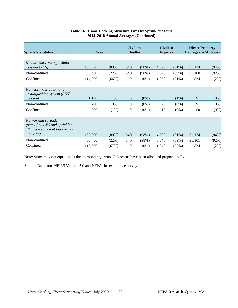| <b>Sprinklers Status</b>                                                               | <b>Fires</b> |          | <b>Civilian</b><br><b>Deaths</b> |         | <b>Civilian</b><br><b>Injuries</b> |          | <b>Direct Property</b><br><b>Damage (in Millions)</b> |         |
|----------------------------------------------------------------------------------------|--------------|----------|----------------------------------|---------|------------------------------------|----------|-------------------------------------------------------|---------|
| No automatic extinguishing                                                             |              |          |                                  |         |                                    |          |                                                       |         |
| system (AES)                                                                           | 153,300      | (89%)    | 540                              | (98%)   | 4,370                              | $(91\%)$ | \$1,124                                               | (94%)   |
| Non-confined                                                                           | 38,400       | (22%)    | 540                              | (98%)   | 3,340                              | $(69\%)$ | \$1,100                                               | (92%)   |
| Confined                                                                               | 114,900      | (66%)    | $\boldsymbol{0}$                 | $(0\%)$ | 1,030                              | (21%)    | \$24                                                  | (2%)    |
|                                                                                        |              |          |                                  |         |                                    |          |                                                       |         |
| Non-sprinkler automatic<br>extinguishing system (AES)                                  |              |          |                                  |         |                                    |          |                                                       |         |
| present                                                                                | 1,100        | (1%)     | $\theta$                         | $(0\%)$ | 30                                 | $(1\%)$  | \$1                                                   | $(0\%)$ |
| Non-confined                                                                           | 200          | $(0\%)$  | $\boldsymbol{0}$                 | $(0\%)$ | 20                                 | $(0\%)$  | \$1                                                   | $(0\%)$ |
| Confined                                                                               | 900          | (1%)     | $\boldsymbol{0}$                 | $(0\%)$ | 10                                 | $(0\%)$  | \$0                                                   | $(0\%)$ |
|                                                                                        |              |          |                                  |         |                                    |          |                                                       |         |
| No working sprinkler<br>(sum of no AES and sprinklers<br>that were present but did not |              |          |                                  |         |                                    |          |                                                       |         |
| <i>operate</i> )                                                                       | 153,900      | $(89\%)$ | 540                              | (98%)   | 4,390                              | $(91\%)$ | \$1,124                                               | (94%)   |
| Non-confined                                                                           | 38,400       | (22%)    | 540                              | (98%)   | 3,340                              | (69%)    | \$1,101                                               | (92%)   |
| Confined                                                                               | 115,500      | (67%)    | $\theta$                         | $(0\%)$ | 1,040                              | (22%)    | \$24                                                  | $(2\%)$ |

# **Table 16. Home Cooking Structure Fires by Sprinkler Status 2014–2018 Annual Averages (Continued)**

Note: Sums may not equal totals due to rounding errors. Unknowns have been allocated proportionally.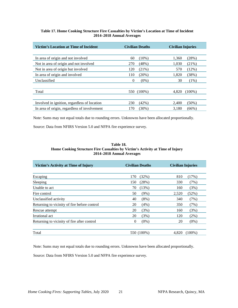#### **Table 17. Home Cooking Structure Fire Casualties by Victim's Location at Time of Incident 2014–2018 Annual Averages**

<span id="page-21-0"></span>

| Victim's Location at Time of Incident        | <b>Civilian Deaths</b> | <b>Civilian Injuries</b> |  |  |
|----------------------------------------------|------------------------|--------------------------|--|--|
|                                              |                        |                          |  |  |
| In area of origin and not involved           | $(10\%)$<br>60         | 1,360<br>(28%)           |  |  |
| Not in area of origin and not involved       | 270<br>(48%)           | 1,030<br>$(21\%)$        |  |  |
| Not in area of origin but involved           | $(21\%)$<br>120        | (12%)<br>570             |  |  |
| In area of origin and involved               | $(20\%)$<br>110        | 1,820<br>(38%)           |  |  |
| Unclassified                                 | $(0\%)$<br>$\theta$    | 30<br>$(1\%)$            |  |  |
|                                              |                        |                          |  |  |
| Total                                        | 550 (100%)             | 4.820<br>$(100\%)$       |  |  |
|                                              |                        |                          |  |  |
| Involved in ignition, regardless of location | 230<br>$(42\%)$        | 2,400<br>$(50\%)$        |  |  |
| In area of origin, regardless of involvement | (30%)<br>170           | 3.180<br>$(66\%)$        |  |  |

Note: Sums may not equal totals due to rounding errors. Unknowns have been allocated proportionally.

<span id="page-21-1"></span>Source: Data from NFIRS Version 5.0 and NFPA fire experience survey.

#### **Table 18. Home Cooking Structure Fire Casualties by Victim's Activity at Time of Injury 2014–2018 Annual Averages**

| Victim's Activity at Time of Injury          | <b>Civilian Deaths</b> | <b>Civilian Injuries</b> |  |  |
|----------------------------------------------|------------------------|--------------------------|--|--|
| Escaping                                     | 170<br>(32%)           | 810<br>(17%)             |  |  |
| Sleeping                                     | (28%)<br>150           | 330<br>(7%)              |  |  |
| Unable to act                                | (13%)<br>70            | (3%)<br>160              |  |  |
| Fire control                                 | 50<br>$(9\%)$          | (52%)<br>2,520           |  |  |
| Unclassified activity                        | 40<br>(8%)             | 340<br>(7%)              |  |  |
| Returning to vicinity of fire before control | 20<br>(4%)             | 350<br>(7%)              |  |  |
| Rescue attempt                               | 20<br>(3%)             | 160<br>(3%)              |  |  |
| Irrational act                               | 20<br>(3%)             | 120<br>$(2\%)$           |  |  |
| Returning to vicinity of fire after control  | $\Omega$<br>$(0\%)$    | 20<br>$(0\%)$            |  |  |
| Total                                        | 550 (100%)             | 4.820<br>$(100\%)$       |  |  |

Note: Sums may not equal totals due to rounding errors. Unknowns have been allocated proportionally.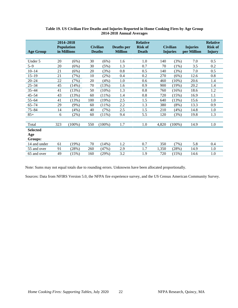<span id="page-22-0"></span>

| <b>Age Group</b> |     | 2014-2018<br><b>Population</b><br>in Millions |     | <b>Civilian</b><br><b>Deaths</b> | <b>Deaths</b> per<br><b>Million</b> | <b>Relative</b><br><b>Risk of</b><br><b>Death</b> |       | <b>Civilian</b><br><b>Injuries</b> | <b>Injuries</b><br>per Million | <b>Relative</b><br><b>Risk of</b><br><b>Injury</b> |
|------------------|-----|-----------------------------------------------|-----|----------------------------------|-------------------------------------|---------------------------------------------------|-------|------------------------------------|--------------------------------|----------------------------------------------------|
|                  |     |                                               |     |                                  |                                     |                                                   |       |                                    |                                |                                                    |
| Under 5          | 20  | (6%)                                          | 30  | (6%)                             | 1.6                                 | 1.0                                               | 140   | (3%)                               | 7.0                            | 0.5                                                |
| $5 - 9$          | 20  | (6%)                                          | 30  | (5%)                             | 1.3                                 | 0.7                                               | 70    | $(1\%)$                            | 3.5                            | 0.2                                                |
| $10 - 14$        | 21  | (6%)                                          | 20  | (3%)                             | 0.8                                 | 0.5                                               | 140   | (3%)                               | 7.0                            | 0.5                                                |
| $15 - 19$        | 21  | (7%)                                          | 10  | $(2\%)$                          | 0.4                                 | 0.2                                               | 270   | (6%)                               | 12.6                           | 0.8                                                |
| $20 - 24$        | 22  | (7%)                                          | 20  | (4%)                             | 1.0                                 | 0.6                                               | 460   | $(10\%)$                           | 20.6                           | 1.4                                                |
| $25 - 34$        | 45  | (14%)                                         | 70  | (13%)                            | 1.6                                 | 0.9                                               | 900   | (19%)                              | 20.2                           | 1.4                                                |
| $35 - 44$        | 41  | (13%)                                         | 50  | (10%)                            | 1.3                                 | 0.8                                               | 760   | (16%)                              | 18.6                           | 1.2                                                |
| $45 - 54$        | 43  | (13%)                                         | 60  | (11%)                            | 1.4                                 | 0.8                                               | 720   | (15%)                              | 16.9                           | 1.1                                                |
| $55 - 64$        | 41  | (13%)                                         | 100 | (19%)                            | 2.5                                 | 1.5                                               | 640   | (13%)                              | 15.6                           | 1.0                                                |
| $65 - 74$        | 29  | (9%)                                          | 60  | (11%)                            | 2.2                                 | 1.3                                               | 380   | (8%)                               | 13.3                           | 0.9                                                |
| $75 - 84$        | 14  | (4%)                                          | 40  | (7%)                             | 2.5                                 | 1.5                                               | 210   | (4%)                               | 14.8                           | 1.0                                                |
| $85+$            | 6   | $(2\%)$                                       | 60  | $(11\%)$                         | 9.4                                 | 5.5                                               | 120   | (3%)                               | 19.8                           | 1.3                                                |
|                  |     |                                               |     |                                  |                                     |                                                   |       |                                    |                                |                                                    |
| Total            | 323 | $(100\%)$                                     | 550 | $(100\%)$                        | 1.7                                 | 1.0                                               | 4,820 | $(100\%)$                          | 14.9                           | 1.0                                                |
| <b>Selected</b>  |     |                                               |     |                                  |                                     |                                                   |       |                                    |                                |                                                    |
| Age              |     |                                               |     |                                  |                                     |                                                   |       |                                    |                                |                                                    |
| Groups:          |     |                                               |     |                                  |                                     |                                                   |       |                                    |                                |                                                    |
| 14 and under     | 61  | (19%)                                         | 70  | (14%)                            | 1.2                                 | 0.7                                               | 350   | (7%)                               | 5.8                            | 0.4                                                |
| 55 and over      | 91  | (28%)                                         | 260 | (47%)                            | 2.9                                 | 1.7                                               | 1,350 | (28%)                              | 14.9                           | 1.0                                                |
| 65 and over      | 49  | (15%)                                         | 160 | (29%)                            | 3.2                                 | 1.9                                               | 720   | (15%)                              | 14.6                           | 1.0                                                |

#### **Table 19. US Civilian Fire Deaths and Injuries Reported in Home Cooking Fires by Age Group 2014-2018 Annual Averages**

Note: Sums may not equal totals due to rounding errors. Unknowns have been allocated proportionally.

Sources: Data from NFIRS Version 5.0, the NFPA fire experience survey, and the US Census American Community Survey.